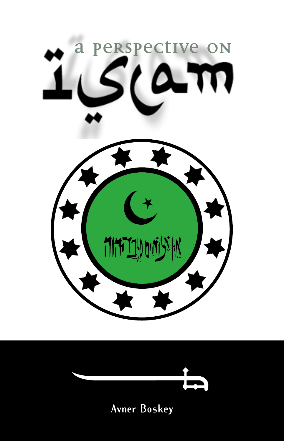



# **Avner Boskey**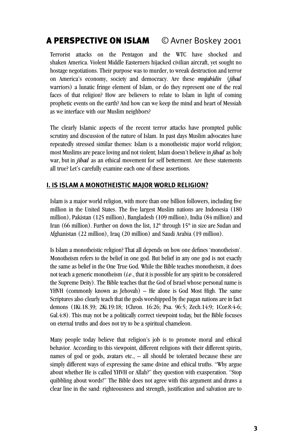# A PERSPECTIVE ON ISLAM © Avner Boskey 2001

Terrorist attacks on the Pentagon and the WTC have shocked and shaken America. Violent Middle Easterners hijacked civilian aircraft, yet sought no hostage negotiations. Their purpose was to murder, to wreak destruction and terror on America's economy, society and democracy. Are these *mujahidin* (*jihad* warriors) a lunatic fringe element of Islam, or do they represent one of the real faces of that religion? How are believers to relate to Islam in light of coming prophetic events on the earth? And how can we keep the mind and heart of Messiah as we interface with our Muslim neighbors?

The clearly Islamic aspects of the recent terror attacks have prompted public scrutiny and discussion of the nature of Islam. In past days Muslim advocates have repeatedly stressed similar themes: Islam is a monotheistic major world religion; most Muslims are peace loving and not violent; Islam doesn't believe in *jihad* as holy war, but in *jihad* as an ethical movement for self betterment. Are these statements all true? Let's carefully examine each one of these assertions.

# **I. IS ISLAM A MONOTHEISTIC MAJOR WORLD RELIGION?**

Islam is a major world religion, with more than one billion followers, including five million in the United States. The five largest Muslim nations are Indonesia (180 million), Pakistan (125 million), Bangladesh (109 million), India (84 million) and Iran (66 million). Further on down the list,  $12<sup>th</sup>$  through  $15<sup>th</sup>$  in size are Sudan and Afghanistan (22 million), Iraq (20 million) and Saudi Arabia (19 million).

Is Islam a monotheistic religion? That all depends on how one defines 'monotheism'. Monotheism refers to the belief in one god. But belief in any one god is not exactly the same as belief in the One True God. While the Bible teaches monotheism, it does not teach a generic monotheism (*i.e.*, that it is possible for any spirit to be considered the Supreme Deity). The Bible teaches that the God of Israel whose personal name is YHVH (commonly known as Jehovah) – He alone is God Most High. The same Scriptures also clearly teach that the gods worshipped by the pagan nations are in fact demons (1Ki.18.39; 2Ki.19:18; 1Chron. 16:26; Psa. 96:5; Zech.14:9; 1Cor.8:4-6; Gal.4:8). This may not be a politically correct viewpoint today, but the Bible focuses on eternal truths and does not try to be a spiritual chameleon.

Many people today believe that religion's job is to promote moral and ethical behavior. According to this viewpoint, different religions with their different spirits, names of god or gods, avatars etc., – all should be tolerated because these are simply different ways of expressing the same divine and ethical truths. "Why argue about whether He is called YHVH or Allah?" they question with exasperation. "Stop quibbling about words!" The Bible does not agree with this argument and draws a clear line in the sand: righteousness and strength, justification and salvation are to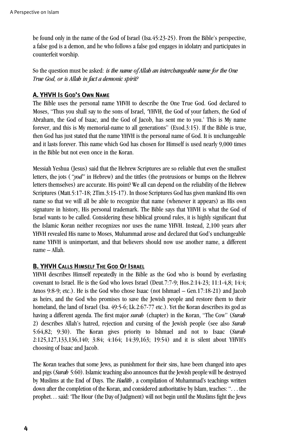be found only in the name of the God of Israel (Isa.45:23-25). From the Bible's perspective, a false god is a demon, and he who follows a false god engages in idolatry and participates in counterfeit worship.

So the question must be asked: *is the name of Allah an interchangeable name for the One True God, or is Allah in fact a demonic spirit?*

# **A. YHVH IS GOD'S OWN NAME**

The Bible uses the personal name YHVH to describe the One True God. God declared to Moses, "Thus you shall say to the sons of Israel, 'YHVH, the God of your fathers, the God of Abraham, the God of Isaac, and the God of Jacob, has sent me to you.' This is My name forever, and this is My memorial-name to all generations" (Exod.3:15). If the Bible is true, then God has just stated that the name YHVH is the personal name of God. It is unchangeable and it lasts forever. This name which God has chosen for Himself is used nearly 9,000 times in the Bible but not even once in the Koran.

Messiah Yeshua (Jesus) said that the Hebrew Scriptures are so reliable that even the smallest letters, the jots (*"yod"* in Hebrew) and the tittles (the protrusions or bumps on the Hebrew letters themselves) are accurate. His point? We all can depend on the reliability of the Hebrew Scriptures (Matt.5:17-18; 2Tim.3:15-17). In those Scriptures God has given mankind His own name so that we will all be able to recognize that name (whenever it appears) as His own signature in history, His personal trademark. The Bible says that YHVH is what the God of Israel wants to be called. Considering these biblical ground rules, it is highly significant that the Islamic Koran neither recognizes nor uses the name YHVH. Instead, 2,100 years after YHVH revealed His name to Moses, Muhammad arose and declared that God's unchangeable name YHVH is unimportant, and that believers should now use another name, a different name – Allah.

# **B. YHVH CALLS HIMSELF THE GOD OF ISRAEL**

YHVH describes Himself repeatedly in the Bible as the God who is bound by everlasting covenant to Israel. He is the God who loves Israel (Deut.7:7-9; Hos.2:14-23; 11:1-4,8; 14:4; Amos 9:8-9; etc.). He is the God who chose Isaac (not Ishmael – Gen.17:18-21) and Jacob as heirs, and the God who promises to save the Jewish people and restore them to their homeland, the land of Israel (Isa, 49:5-6; Lk.2:67-77 etc.). Yet the Koran describes its god as having a different agenda. The first major *surah* (chapter) in the Koran, "The Cow" (*Surah* 2) describes Allah's hatred, rejection and cursing of the Jewish people (see also *Surah* 5:64,82; 9:30). The Koran gives priority to Ishmael and not to Isaac (*Surah* 2:125,127,133,136,140; 3:84; 4:164; 14:39,163; 19:54) and it is silent about YHVH's choosing of Isaac and Jacob.

The Koran teaches that some Jews, as punishment for their sins, have been changed into apes and pigs (*Surah* 5:60). Islamic teaching also announces that the Jewish people will be destroyed by Muslims at the End of Days. The *Hadith*, a compilation of Muhammad's teachings written down after the completion of the Koran, and considered authoritative by Islam, teaches: ". . . the prophet… said: 'The Hour (the Day of Judgment) will not begin until the Muslims fight the Jews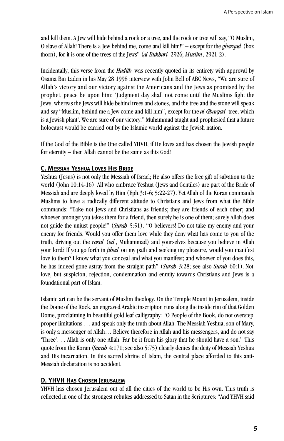and kill them. A Jew will hide behind a rock or a tree, and the rock or tree will say, "O Muslim, O slave of Allah! There is a Jew behind me, come and kill him!" – except for the *ghargad* (box thorn), for it is one of the trees of the Jews" (*al-Bukhari* 2926; *Muslim*, 2921-2).

Incidentally, this verse from the *Hadith* was recently quoted in its entirety with approval by Osama Bin Laden in his May 28 1998 interview with John Bell of ABC News, "We are sure of Allah's victory and our victory against the Americans and the Jews as promised by the prophet, peace be upon him: 'Judgment day shall not come until the Muslims fight the Jews, whereas the Jews will hide behind trees and stones, and the tree and the stone will speak and say "Muslim, behind me a Jew come and kill him", except for the *al-Ghargad* tree, which is a Jewish plant'. We are sure of our victory." Muhammad taught and prophesied that a future holocaust would be carried out by the Islamic world against the Jewish nation.

If the God of the Bible is the One called YHVH, if He loves and has chosen the Jewish people for eternity – then Allah cannot be the same as this God!

# **C. MESSIAH YESHUA LOVES HIS BRIDE**

Yeshua (Jesus) is not only the Messiah of Israel; He also offers the free gift of salvation to the world (John 10:14-16). All who embrace Yeshua (Jews and Gentiles) are part of the Bride of Messiah and are deeply loved by Him (Eph.3:1-6; 5:22-27). Yet Allah of the Koran commands Muslims to have a radically different attitude to Christians and Jews from what the Bible commands: "Take not Jews and Christians as friends; they are friends of each other; and whoever amongst you takes them for a friend, then surely he is one of them; surely Allah does not guide the unjust people!" (*Surah* 5:51). "O believers! Do not take my enemy and your enemy for friends. Would you offer them love while they deny what has come to you of the truth, driving out the *rasul* (*ed*., Muhammad) and yourselves because you believe in Allah your lord? If you go forth in *jihad* on my path and seeking my pleasure, would you manifest love to them? I know what you conceal and what you manifest; and whoever of you does this, he has indeed gone astray from the straight path" (*Surah* 3:28; see also *Surah* 60:1). Not love, but suspicion, rejection, condemnation and enmity towards Christians and Jews is a foundational part of Islam.

Islamic art can be the servant of Muslim theology. On the Temple Mount in Jerusalem, inside the Dome of the Rock, an engraved Arabic inscription runs along the inside rim of that Golden Dome, proclaiming in beautiful gold leaf calligraphy: "O People of the Book, do not overstep proper limitations … and speak only the truth about Allah. The Messiah Yeshua, son of Mary, is only a messenger of Allah… Believe therefore in Allah and his messengers, and do not say 'Three'. . . Allah is only one Allah. Far be it from his glory that he should have a son." This quote from the Koran (*Surah* 4:171; see also 5:75) clearly denies the deity of Messiah Yeshua and His incarnation. In this sacred shrine of Islam, the central place afforded to this anti-Messiah declaration is no accident.

# **D. YHVH HAS CHOSEN JERUSALEM**

YHVH has chosen Jerusalem out of all the cities of the world to be His own. This truth is reflected in one of the strongest rebukes addressed to Satan in the Scriptures: "And YHVH said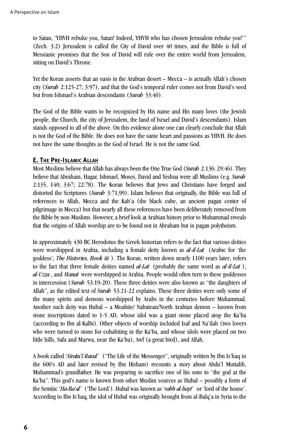to Satan, 'YHVH rebuke you, Satan! Indeed, YHVH who has chosen Jerusalem rebuke you!" (Zech. 3:2) Jerusalem is called the City of David over 40 times, and the Bible is full of Messianic promises that the Son of David will rule over the entire world from Jerusalem, sitting on David's Throne.

Yet the Koran asserts that an oasis in the Arabian desert – Mecca – is actually Allah's chosen city (*Surah* 2:125-27; 3:97), and that the God's temporal ruler comes not from David's seed but from Ishmael's Arabian descendants (*Surah* 33:40).

The God of the Bible wants to be recognized by His name and His many loves (the Jewish people, the Church, the city of Jerusalem, the land of Israel and David's descendants). Islam stands opposed to all of the above. On this evidence alone one can clearly conclude that Allah is not the God of the Bible. He does not have the same heart and passions as YHVH. He does not have the same thoughts as the God of Israel. He is not the same God.

# **E. THE PRE-ISLAMIC ALLAH**

Most Muslims believe that Allah has always been the One True God (*Surah* 2:136: 29:46). They believe that Abraham, Hagar, Ishmael, Moses, David and Yeshua were all Muslims (e.g. *Surah* 2:135, 140; 3:67; 22:78). The Koran believes that Jews and Christians have forged and distorted the Scriptures (*Surab* 3:71,99). Islam believes that originally, the Bible was full of references to Allah, Mecca and the Kab'a (the black cube, an ancient pagan center of pilgrimage in Mecca) but that nearly all these references have been deliberately removed from the Bible by non-Muslims. However, a brief look at Arabian history prior to Muhammad reveals that the origins of Allah worship are to be found not in Abraham but in pagan polytheism.

In approximately 430 BC Herodotus the Greek historian refers to the fact that various deities were worshipped in Arabia, including a female deity known as *al-il-Lat* (Arabic for 'the goddess'; *The Histories, Book iii* ). The Koran, written down nearly 1100 years later, refers to the fact that three female deities named *al-Lat* (probably the same word as *al-il-Lat* ), *al-Uzza* , and *Manat* were worshipped in Arabia. People would often turn to these goddesses in intercession (*Surah* 53:19-20). These three deities were also known as "the daughters of Allah", as the edited text of *Surah* 53:21-22 explains. These three deities were only some of the many spirits and demons worshipped by Arabs in the centuries before Muhammad. Another such deity was Hubal – a Moabite/ Nabatean/North Arabian demon – known from stone inscriptions dated to 1-5 AD, whose idol was a giant stone placed atop the Ka'ba (according to Ibn al-Kalbi). Other objects of worship included Isaf and Na'ilah (two lovers who were turned to stone for cohabiting in the Ka'ba, and whose idols were placed on two little hills, Safa and Marwa, near the Ka'ba), Awf (a great bird), and Allah.

A book called '*Siratu'l Rasul'* ("The Life of the Messenger", originally written by Ibn Is'haq in the 600's AD and later revised by Ibn Hisham) recounts a story about Abdu'l Muttalib, Muhammad's grandfather. He was preparing to sacrifice one of his sons to "the god at the Ka'ba". This god's name is known from other Muslim sources as Hubal – possibly a form of the Semitic '*Ha-Ba'al'* ('The Lord'). Hubal was known as 'rabb al-bayt' or 'lord of the house'. According to Ibn Is'haq, the idol of Hubal was originally brought from al-Balq'a in Syria to the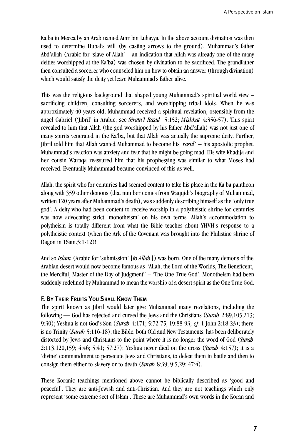Ka'ba in Mecca by an Arab named Amr bin Luhayya. In the above account divination was then used to determine Hubal's will (by casting arrows to the ground). Muhammad's father Abd'allah (Arabic for 'slave of Allah' – an indication that Allah was already one of the many deities worshipped at the Ka'ba) was chosen by divination to be sacrificed. The grandfather then consulted a sorcerer who counseled him on how to obtain an answer (through divination) which would satisfy the deity yet leave Muhammad's father alive.

This was the religious background that shaped young Muhammad's spiritual world view – sacrificing children, consulting sorcerers, and worshipping tribal idols. When he was approximately 40 years old, Muhammad received a spiritual revelation, ostensibly from the angel Gabriel ('Jibril' in Arabic; see *Siratu'l Rasul* 5:152; *Mishkat* 4:356-57). This spirit revealed to him that Allah (the god worshipped by his father Abd'allah) was not just one of many spirits venerated in the Ka'ba, but that Allah was actually the supreme deity. Further, Jibril told him that Allah wanted Muhammad to become his *'rasul'* – his apostolic prophet. Muhammad's reaction was anxiety and fear that he might be going mad. His wife Khadija and her cousin Waraqa reassured him that his prophesying was similar to what Moses had received. Eventually Muhammad became convinced of this as well.

Allah, the spirit who for centuries had seemed content to take his place in the Ka'ba pantheon along with 359 other demons (that number comes from Waqqidi's biography of Muhammad, written 120 years after Muhammad's death), was suddenly describing himself as the 'only true god'. A deity who had been content to receive worship in a polytheistic shrine for centuries was now advocating strict 'monotheism' on his own terms. Allah's accommodation to polytheism is totally different from what the Bible teaches about YHVH's response to a polytheistic context (when the Ark of the Covenant was brought into the Philistine shrine of Dagon in 1Sam.5:1-12)!

And so *Islam* (Arabic for 'submission' [*to Allah* ]) was born. One of the many demons of the Arabian desert would now become famous as "Allah, the Lord of the Worlds, The Beneficent, the Merciful, Master of the Day of Judgment" – 'The One True God'. Monotheism had been suddenly redefined by Muhammad to mean the worship of a desert spirit as the One True God.

#### **F. BY THEIR FRUITS YOU SHALL KNOW THEM**

The spirit known as Jibril would later give Muhammad many revelations, including the following — God has rejected and cursed the Jews and the Christians (*Surah* 2:89,105,213; 9:30); Yeshua is not God's Son (*Surah* 4:171; 5:72-75; 19:88-93; *cf*. 1 John 2:18-23); there is no Trinity (*Surah* 5:116-18); the Bible, both Old and New Testaments, has been deliberately distorted by Jews and Christians to the point where it is no longer the word of God (*Surah* 2:113,120,159; 4:46; 5:41; 57:27); Yeshua never died on the cross (*Surah* 4:157); it is a 'divine' commandment to persecute Jews and Christians, to defeat them in battle and then to consign them either to slavery or to death (*Surah* 8:39; 9:5,29: 47:4).

These Koranic teachings mentioned above cannot be biblically described as 'good and peaceful'. They are anti-Jewish and anti-Christian. And they are not teachings which only represent 'some extreme sect of Islam'. These are Muhammad's own words in the Koran and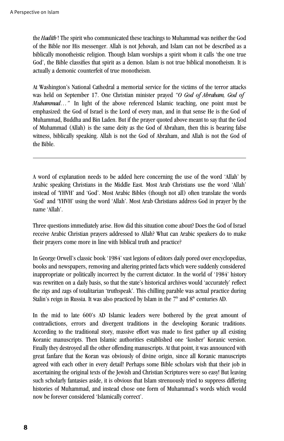the *Hadith* ! The spirit who communicated these teachings to Muhammad was neither the God of the Bible nor His messenger. Allah is not Jehovah, and Islam can not be described as a biblically monotheistic religion. Though Islam worships a spirit whom it calls 'the one true God', the Bible classifies that spirit as a demon. Islam is not true biblical monotheism. It is actually a demonic counterfeit of true monotheism.

At Washington's National Cathedral a memorial service for the victims of the terror attacks was held on September 17. One Christian minister prayed *"O God of Abraham, God of Muhammad...*" In light of the above referenced Islamic teaching, one point must be emphasized: the God of Israel is the Lord of every man, and in that sense He is the God of Muhammad, Buddha and Bin Laden. But if the prayer quoted above meant to say that the God of Muhammad (Allah) is the same deity as the God of Abraham, then this is bearing false witness, biblically speaking. Allah is not the God of Abraham, and Allah is not the God of the Bible.

A word of explanation needs to be added here concerning the use of the word 'Allah' by Arabic speaking Christians in the Middle East. Most Arab Christians use the word 'Allah' instead of 'YHVH' and 'God'. Most Arabic Bibles (though not all) often translate the words 'God' and 'YHVH' using the word 'Allah'. Most Arab Christians address God in prayer by the name 'Allah'.

Three questions immediately arise. How did this situation come about? Does the God of Israel receive Arabic Christian prayers addressed to Allah? What can Arabic speakers do to make their prayers come more in line with biblical truth and practice?

In George Orwell's classic book '1984' vast legions of editors daily pored over encyclopedias, books and newspapers, removing and altering printed facts which were suddenly considered inappropriate or politically incorrect by the current dictator. In the world of '1984' history was rewritten on a daily basis, so that the state's historical archives would 'accurately' reflect the zigs and zags of totalitarian 'truthspeak'. This chilling parable was actual practice during Stalin's reign in Russia. It was also practiced by Islam in the  $7<sup>th</sup>$  and  $8<sup>th</sup>$  centuries AD.

In the mid to late 600's AD Islamic leaders were bothered by the great amount of contradictions, errors and divergent traditions in the developing Koranic traditions. According to the traditional story, massive effort was made to first gather up all existing Koranic manuscripts. Then Islamic authorities established one 'kosher' Koranic version. Finally they destroyed all the other offending manuscripts. At that point, it was announced with great fanfare that the Koran was obviously of divine origin, since all Koranic manuscripts agreed with each other in every detail! Perhaps some Bible scholars wish that their job in ascertaining the original texts of the Jewish and Christian Scriptures were so easy! But leaving such scholarly fantasies aside, it is obvious that Islam strenuously tried to suppress differing histories of Muhammad, and instead chose one form of Muhammad's words which would now be forever considered 'Islamically correct'.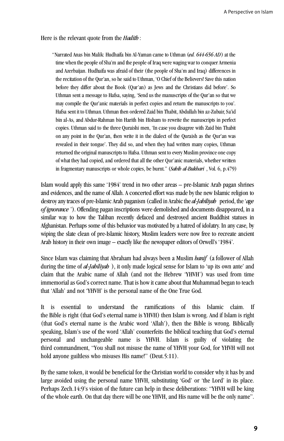Here is the relevant quote from the *Hadith* :

"Narrated Anas bin Malik: Hudhaifa bin Al-Yaman came to Uthman (*ed. 644-656 AD*) at the time when the people of Sha'm and the people of Iraq were waging war to conquer Armenia and Azerbaijan. Hudhaifa was afraid of their (the people of Sha'm and Iraq) differences in the recitation of the Qur'an, so he said to Uthman, 'O Chief of the Believers! Save this nation before they differ about the Book (Qur'an) as Jews and the Christians did before'. So Uthman sent a message to Hafsa, saying, 'Send us the manuscripts of the Qur'an so that we may compile the Qur'anic materials in perfect copies and return the manuscripts to you'. Hafsa sent it to Uthman. Uthman then ordered Zaid bin Thabit, Abdullah bin az-Zubair, Sa'id bin al-As, and Abdur-Rahman bin Harith bin Hisham to rewrite the manuscripts in perfect copies. Uthman said to the three Quraishi men, 'In case you disagree with Zaid bin Thabit on any point in the Qur'an, then write it in the dialect of the Quraish as the Qur'an was revealed in their tongue'. They did so, and when they had written many copies, Uthman returned the original manuscripts to Hafsa. Uthman sent to every Muslim province one copy of what they had copied, and ordered that all the other Qur'anic materials, whether written in fragmentary manuscripts or whole copies, be burnt." (*Sahih al-Bukhari* , Vol. 6, p.479)

Islam would apply this same '1984' trend in two other areas – pre-Islamic Arab pagan shrines and evidences, and the name of Allah. A concerted effort was made by the new Islamic religion to destroy any traces of pre-Islamic Arab paganism (called in Arabic the *al-J abiliyah* period, the '*age of ignorance* '). Offending pagan inscriptions were demolished and documents disappeared, in a similar way to how the Taliban recently defaced and destroyed ancient Buddhist statues in Afghanistan. Perhaps some of this behavior was motivated by a hatred of idolatry. In any case, by wiping the slate clean of pre-Islamic history, Muslim leaders were now free to recreate ancient Arab history in their own image – exactly like the newspaper editors of Orwell's '1984'.

Since Islam was claiming that Abraham had always been a Muslim *hanif* (a follower of Allah during the time of *al-Jahiliyah* ), it only made logical sense for Islam to 'up its own ante' and claim that the Arabic name of Allah (and not the Hebrew 'YHVH') was used from time immemorial as God's correct name. That is how it came about that Muhammad began to teach that 'Allah' and not 'YHVH' is the personal name of the One True God.

It is essential to understand the ramifications of this Islamic claim. If the Bible is right (that God's eternal name is YHVH) then Islam is wrong. And if Islam is right (that God's eternal name is the Arabic word 'Allah'), then the Bible is wrong. Biblically speaking, Islam's use of the word 'Allah' counterfeits the biblical teaching that God's eternal personal and unchangeable name is YHVH. Islam is guilty of violating the third commandment, "You shall not misuse the name of YHVH your God, for YHVH will not hold anyone guiltless who misuses His name!" (Deut.5:11).

By the same token, it would be beneficial for the Christian world to consider why it has by and large avoided using the personal name YHVH, substituting 'God' or 'the Lord' in its place. Perhaps Zech.14:9's vision of the future can help in these deliberations: "YHVH will be king of the whole earth. On that day there will be one YHVH, and His name will be the only name".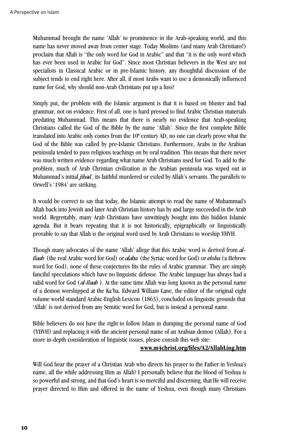Muhammad brought the name 'Allah' to prominence in the Arab-speaking world, and this name has never moved away from center stage. Today Muslims (and many Arab Christians!) proclaim that Allah is "the only word for God in Arabic" and that "it is the only word which has ever been used in Arabic for God". Since most Christian believers in the West are not specialists in Classical Arabic or in pre-Islamic history, any thoughtful discussion of the subject tends to end right here. After all, if most Arabs want to use a demonically influenced name for God, why should non-Arab Christians put up a fuss?

Simply put, the problem with the Islamic argument is that it is based on bluster and bad grammar, not on evidence. First of all, one is hard pressed to find Arabic Christian materials predating Muhammad. This means that there is nearly no evidence that Arab-speaking Christians called the God of the Bible by the name 'Allah'. Since the first complete Bible translated into Arabic only comes from the  $10<sup>th</sup>$  century AD, no one can clearly prove what the God of the Bible was called by pre-Islamic Christians. Furthermore, Arabs in the Arabian peninsula tended to pass religious teachings on by oral tradition. This means that there never was much written evidence regarding what name Arab Christians used for God. To add to the problem, much of Arab Christian civilization in the Arabian peninsula was wiped out in Muhammad's initial *jihad*, its faithful murdered or exiled by Allah's servants. The parallels to Orwell's '1984' are striking.

It would be correct to say that today, the Islamic attempt to read the name of Muhammad's Allah back into Jewish and later Arab Christian history has by and large succeeded in the Arab world. Regrettably, many Arab Christians have unwittingly bought into this hidden Islamic agenda. But it bears repeating that it is not historically, epigraphically or linguistically provable to say that Allah is the original word used by Arab Christians to worship YHVH.

Though many advocates of the name 'Allah' allege that this Arabic word is derived from *al-Ilaah* (the real Arabic word for God) or *alaha* (the Syriac word for God) or *eloha* (a Hebrew word for God), none of these conjectures fits the rules of Arabic grammar. They are simply fanciful speculations which have no linguistic defense. The Arabic language has always had a valid word for God (*al-Ilaah* ). At the same time Allah was long known as the personal name of a demon worshipped at the Ka'ba. Edward William Lane, the editor of the original eight volume world standard Arabic-English Lexicon (1863), concluded on linguistic grounds that 'Allah' is not derived from any Semitic word for God, but is instead a personal name.

Bible believers do not have the right to follow Islam in dumping the personal name of God (YHVH) and replacing it with the ancient personal name of an Arabian demon (Allah). For a more in-depth consideration of linguistic issues, please consult this web site:

#### **www.m4christ.org/files/A2/AllahLing.htm**

Will God hear the prayer of a Christian Arab who directs his prayer to the Father in Yeshua's name, all the while addressing Him as Allah? I personally believe that the blood of Yeshua is so powerful and strong, and that God's heart is so merciful and discerning, that He will receive prayer directed to Him and offered in the name of Yeshua, even though many Christians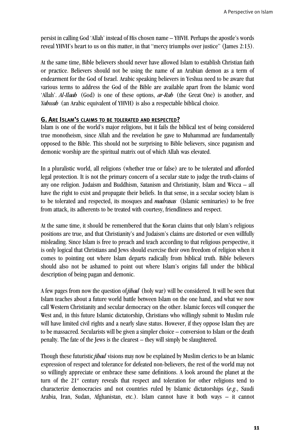persist in calling God 'Allah' instead of His chosen name – YHVH. Perhaps the apostle's words reveal YHVH's heart to us on this matter, in that "mercy triumphs over justice" (James 2:13).

At the same time, Bible believers should never have allowed Islam to establish Christian faith or practice. Believers should not be using the name of an Arabian demon as a term of endearment for the God of Israel. Arabic speaking believers in Yeshua need to be aware that various terms to address the God of the Bible are available apart from the Islamic word 'Allah'. *Al-Ilaah* (God) is one of these options, *ar-Rab* (the Great One) is another, and *Yahwah* (an Arabic equivalent of YHVH) is also a respectable biblical choice.

#### **G. ARE ISLAM'S CLAIMS TO BE TOLERATED AND RESPECTED?**

Islam is one of the world's major religions, but it fails the biblical test of being considered true monotheism, since Allah and the revelation he gave to Muhammad are fundamentally opposed to the Bible. This should not be surprising to Bible believers, since paganism and demonic worship are the spiritual matrix out of which Allah was elevated.

In a pluralistic world, all religions (whether true or false) are to be tolerated and afforded legal protection. It is not the primary concern of a secular state to judge the truth-claims of any one religion. Judaism and Buddhism, Satanism and Christianity, Islam and Wicca – all have the right to exist and propagate their beliefs. In that sense, in a secular society Islam is to be tolerated and respected, its mosques and *madrasas* (Islamic seminaries) to be free from attack, its adherents to be treated with courtesy, friendliness and respect.

At the same time, it should be remembered that the Koran claims that only Islam's religious positions are true, and that Christianity's and Judaism's claims are distorted or even willfully misleading. Since Islam is free to preach and teach according to that religious perspective, it is only logical that Christians and Jews should exercise their own freedom of religion when it comes to pointing out where Islam departs radically from biblical truth. Bible believers should also not be ashamed to point out where Islam's origins fall under the biblical description of being pagan and demonic.

A few pages from now the question of *jihad* (holy war) will be considered. It will be seen that Islam teaches about a future world battle between Islam on the one hand, and what we now call Western Christianity and secular democracy on the other. Islamic forces will conquer the West and, in this future Islamic dictatorship, Christians who willingly submit to Muslim rule will have limited civil rights and a nearly slave status. However, if they oppose Islam they are to be massacred. Secularists will be given a simpler choice – conversion to Islam or the death penalty. The fate of the Jews is the clearest – they will simply be slaughtered.

Though these futuristic *jihad* visions may now be explained by Muslim clerics to be an Islamic expression of respect and tolerance for defeated non-believers, the rest of the world may not so willingly appreciate or embrace these same definitions. A look around the planet at the turn of the  $21<sup>s</sup>$  century reveals that respect and toleration for other religions tend to characterize democracies and not countries ruled by Islamic dictatorships (*e.g*., Saudi Arabia, Iran, Sudan, Afghanistan, etc.). Islam cannot have it both ways – it cannot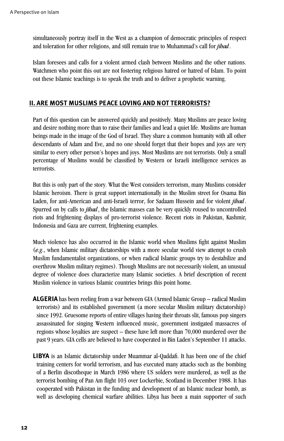simultaneously portray itself in the West as a champion of democratic principles of respect and toleration for other religions, and still remain true to Muhammad's call for *jihad*.

Islam foresees and calls for a violent armed clash between Muslims and the other nations. Watchmen who point this out are not fostering religious hatred or hatred of Islam. To point out these Islamic teachings is to speak the truth and to deliver a prophetic warning.

# **II. ARE MOST MUSLIMS PEACE LOVING AND NOT TERRORISTS?**

Part of this question can be answered quickly and positively. Many Muslims are peace loving and desire nothing more than to raise their families and lead a quiet life. Muslims are human beings made in the image of the God of Israel. They share a common humanity with all other descendants of Adam and Eve, and no one should forget that their hopes and joys are very similar to every other person's hopes and joys. Most Muslims are not terrorists. Only a small percentage of Muslims would be classified by Western or Israeli intelligence services as terrorists.

But this is only part of the story. What the West considers terrorism, many Muslims consider Islamic heroism. There is great support internationally in the Muslim street for Osama Bin Laden, for anti-American and anti-Israeli terror, for Sadaam Hussein and for violent *jihad*. Spurred on by calls to *jihad*, the Islamic masses can be very quickly roused to uncontrolled riots and frightening displays of pro-terrorist violence. Recent riots in Pakistan, Kashmir, Indonesia and Gaza are current, frightening examples.

Much violence has also occurred in the Islamic world when Muslims fight against Muslim (*e.g*., when Islamic military dictatorships with a more secular world view attempt to crush Muslim fundamentalist organizations, or when radical Islamic groups try to destabilize and overthrow Muslim military regimes). Though Muslims are not necessarily violent, an unusual degree of violence does characterize many Islamic societies. A brief description of recent Muslim violence in various Islamic countries brings this point home.

- **ALGERIA** has been reeling from a war between GIA (Armed Islamic Group radical Muslim terrorists) and its established government (a more secular Muslim military dictatorship) since 1992. Gruesome reports of entire villages having their throats slit, famous pop singers assassinated for singing Western influenced music, government instigated massacres of regions whose loyalties are suspect – these have left more than 70,000 murdered over the past 9 years. GIA cells are believed to have cooperated in Bin Laden's September 11 attacks.
- **LIBYA** is an Islamic dictatorship under Muammar al-Qaddafi. It has been one of the chief training centers for world terrorism, and has executed many attacks such as the bombing of a Berlin discotheque in March 1986 where US solders were murdered, as well as the terrorist bombing of Pan Am flight 103 over Lockerbie, Scotland in December 1988. It has cooperated with Pakistan in the funding and development of an Islamic nuclear bomb, as well as developing chemical warfare abilities. Libya has been a main supporter of such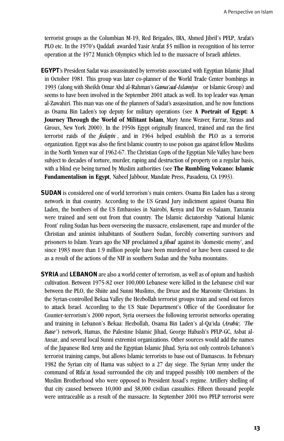terrorist groups as the Columbian M-19, Red Brigades, IRA, Ahmed Jibril's PFLP, Arafat's PLO etc. In the 1970's Qaddafi awarded Yasir Arafat \$5 million in recognition of his terror operation at the 1972 Munich Olympics which led to the massacre of Israeli athletes.

- **EGYPT**'s President Sadat was assassinated by terrorists associated with Egyptian Islamic Jihad in October 1981. This group was later co-planner of the World Trade Center bombings in 1993 (along with Sheikh Omar Abd al-Rahman's *Gama' aal-Islamiya* or Islamic Group) and seems to have been involved in the September 2001 attack as well. Its top leader was Ayman al-Zawahiri. This man was one of the planners of Sadat's assassination, and he now functions as Osama Bin Laden's top deputy for military operations (see **A Portrait of Egypt: A Journey Through the World of Militant Islam, Mary Anne Weaver, Farrar, Straus and** Giroux, New York 2000). In the 1950s Egypt originally financed, trained and ran the first terrorist raids of the *fedayin*, and in 1964 helped establish the PLO as a terrorist organization. Egypt was also the first Islamic country to use poison gas against fellow Muslims in the North Yemen war of 1962-67. The Christian Copts of the Egyptian Nile Valley have been subject to decades of torture, murder, raping and destruction of property on a regular basis, with a blind eye being turned by Muslim authorities (see **The Rumbling Volcano: Islamic Fundamentalism in Egypt**, Nabeel Jabbour, Mandate Press, Pasadena, CA 1993).
- **SUDAN** is considered one of world terrorism's main centers. Osama Bin Laden has a strong network in that country. According to the US Grand Jury indictment against Osama Bin Laden, the bombers of the US Embassies in Nairobi, Kenya and Dar es-Salaam, Tanzania were trained and sent out from that country. The Islamic dictatorship 'National Islamic Front' ruling Sudan has been overseeing the massacre, enslavement, rape and murder of the Christian and animist inhabitants of Southern Sudan, forcibly converting survivors and prisoners to Islam. Years ago the NIF proclaimed a *jihad* against its 'domestic enemy', and since 1983 more than 1.9 million people have been murdered or have been caused to die as a result of the actions of the NIF in southern Sudan and the Nuba mountains.
- **SYRIA** and **LEBANON** are also a world center of terrorism, as well as of opium and hashish cultivation. Between 1975-82 over 100,000 Lebanese were killed in the Lebanese civil war between the PLO, the Shiite and Sunni Muslims, the Druze and the Maronite Christians. In the Syrian-controlled Bekaa Valley the Hezbollah terrorist groups train and send out forces to attack Israel. According to the US State Department's Office of the Coordinator for Counter-terrorism's 2000 report, Syria oversees the following terrorist networks operating and training in Lebanon's Bekaa: Hezbollah, Osama Bin Laden's al-Qa'ida (*Arabic, 'The Base'*) network, Hamas, the Palestine Islamic Jihad, George Habash's PFLP-GC, Asbat al-Ansar, and several local Sunni extremist organizations. Other sources would add the names of the Japanese Red Army and the Egyptian Islamic Jihad. Syria not only controls Lebanon's terrorist training camps, but allows Islamic terrorists to base out of Damascus. In February 1982 the Syrian city of Hama was subject to a 27 day siege. The Syrian Army under the command of Rifa'at Assad surrounded the city and trapped possibly 100 members of the Muslim Brotherhood who were opposed to President Assad's regime. Artillery shelling of that city caused between 10,000 and 38,000 civilian casualties. Fifteen thousand people were untraceable as a result of the massacre. In September 2001 two PFLP terrorist were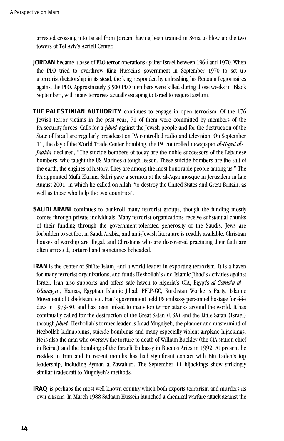arrested crossing into Israel from Jordan, having been trained in Syria to blow up the two towers of Tel Aviv's Azrieli Center.

- **JORDAN** became a base of PLO terror operations against Israel between 1964 and 1970. When the PLO tried to overthrow King Hussein's government in September 1970 to set up a terrorist dictatorship in its stead, the king responded by unleashing his Bedouin Legionnaires against the PLO. Approximately 3,500 PLO members were killed during those weeks in 'Black September', with many terrorists actually escaping to Israel to request asylum.
- **THE PALESTINIAN AUTHORITY** continues to engage in open terrorism. Of the 176 Jewish terror victims in the past year, 71 of them were committed by members of the PA security forces. Calls for a *jihad* against the Jewish people and for the destruction of the State of Israel are regularly broadcast on PA controlled radio and television. On September 11, the day of the World Trade Center bombing, the PA controlled newspaper *al-Hayat al-Jadida* declared, "The suicide bombers of today are the noble successors of the Lebanese bombers, who taught the US Marines a tough lesson. These suicide bombers are the salt of the earth, the engines of history. They are among the most honorable people among us." The PA appointed Mufti Ekrima Sabri gave a sermon at the al-Aqsa mosque in Jerusalem in late August 2001, in which he called on Allah "to destroy the United States and Great Britain, as well as those who help the two countries".
- **SAUDI ARABI** continues to bankroll many terrorist groups, though the funding mostly comes through private individuals. Many terrorist organizations receive substantial chunks of their funding through the government-tolerated generosity of the Saudis. Jews are forbidden to set foot in Saudi Arabia, and anti-Jewish literature is readily available. Christian houses of worship are illegal, and Christians who are discovered practicing their faith are often arrested, tortured and sometimes beheaded.
- **IRAN** is the center of Shi'ite Islam, and a world leader in exporting terrorism. It is a haven for many terrorist organizations, and funds Hezbollah's and Islamic Jihad's activities against Israel. Iran also supports and offers safe haven to Algeria's GIA, Egypt's *al-Gama'a al-Islamiyya* , Hamas, Egyptian Islamic Jihad, PFLP-GC, Kurdistan Worker's Party, Islamic Movement of Uzbekistan, etc. Iran's government held US embassy personnel hostage for 444 days in 1979-80, and has been linked to many top terror attacks around the world. It has continually called for the destruction of the Great Satan (USA) and the Little Satan (Israel) through *jihad*. Hezbollah's former leader is Imad Mugniyeh, the planner and mastermind of Hezbollah kidnappings, suicide bombings and many especially violent airplane hijackings. He is also the man who oversaw the torture to death of William Buckley (the CIA station chief in Beirut) and the bombing of the Israeli Embassy in Buenos Aries in 1992. At present he resides in Iran and in recent months has had significant contact with Bin Laden's top leadership, including Ayman al-Zawahari. The September 11 hijackings show strikingly similar tradecraft to Mugniyeh's methods.
- **IRAQ** is perhaps the most well known country which both exports terrorism and murders its own citizens. In March 1988 Sadaam Hussein launched a chemical warfare attack against the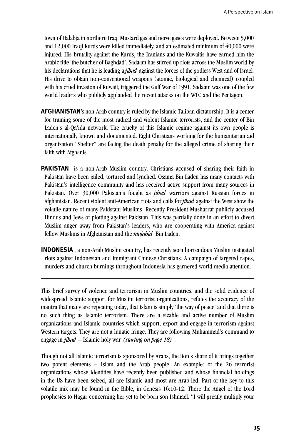town of Halabia in northern Iraq. Mustard gas and nerve gases were deployed. Between 5,000 and 12,000 Iraqi Kurds were killed immediately, and an estimated minimum of 40,000 were injured. His brutality against the Kurds, the Iranians and the Kuwaitis have earned him the Arabic title 'the butcher of Baghdad'. Sadaam has stirred up riots across the Muslim world by his declarations that he is leading a *jibad* against the forces of the godless West and of Israel. His drive to obtain non-conventional weapons (atomic, biological and chemical) coupled with his cruel invasion of Kuwait, triggered the Gulf War of 1991. Sadaam was one of the few world leaders who publicly applauded the recent attacks on the WTC and the Pentagon.

- **AFGHANISTAN**'s non-Arab country is ruled by the Islamic Taliban dictatorship. It is a center for training some of the most radical and violent Islamic terrorists, and the center of Bin Laden's al-Qa'ida network. The cruelty of this Islamic regime against its own people is internationally known and documented. Eight Christians working for the humanitarian aid organization "Shelter" are facing the death penalty for the alleged crime of sharing their faith with Afghanis.
- **PAKISTAN** is a non-Arab Muslim country. Christians accused of sharing their faith in Pakistan have been jailed, tortured and lynched. Osama Bin Laden has many contacts with Pakistan's intelligence community and has received active support from many sources in Pakistan. Over 30,000 Pakistanis fought as *jihad* warriors against Russian forces in Afghanistan. Recent violent anti-American riots and calls for *jihad* against the West show the volatile nature of many Pakistani Muslims. Recently President Musharraf publicly accused Hindus and Jews of plotting against Pakistan. This was partially done in an effort to divert Muslim anger away from Pakistan's leaders, who are cooperating with America against fellow Muslims in Afghanistan and the *mujahid* Bin Laden.
- **INDONESIA**, a non-Arab Muslim country, has recently seen horrendous Muslim instigated riots against Indonesian and immigrant Chinese Christians. A campaign of targeted rapes, murders and church burnings throughout Indonesia has garnered world media attention.

This brief survey of violence and terrorism in Muslim countries, and the solid evidence of widespread Islamic support for Muslim terrorist organizations, refutes the accuracy of the mantra that many are repeating today, that Islam is simply 'the way of peace' and that there is no such thing as Islamic terrorism. There are a sizable and active number of Muslim organizations and Islamic countries which support, export and engage in terrorism against Western targets. They are not a lunatic fringe. They are following Muhammad's command to engage in *jihad* – Islamic holy war *(starting on page 18)* .

Though not all Islamic terrorism is sponsored by Arabs, the lion's share of it brings together two potent elements – Islam and the Arab people. An example: of the 26 terrorist organizations whose identities have recently been published and whose financial holdings in the US have been seized, all are Islamic and most are Arab-led. Part of the key to this volatile mix may be found in the Bible, in Genesis 16:10-12. There the Angel of the Lord prophesies to Hagar concerning her yet to be born son Ishmael. "I will greatly multiply your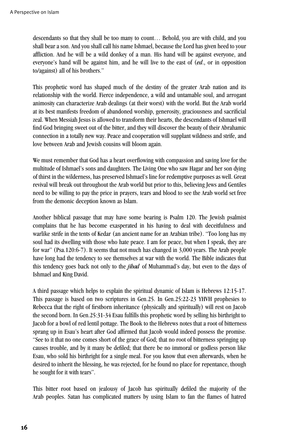descendants so that they shall be too many to count… Behold, you are with child, and you shall bear a son. And you shall call his name Ishmael, because the Lord has given heed to your affliction. And he will be a wild donkey of a man. His hand will be against everyone, and everyone's hand will be against him, and he will live to the east of (*ed*., or in opposition to/against) all of his brothers."

This prophetic word has shaped much of the destiny of the greater Arab nation and its relationship with the world. Fierce independence, a wild and untamable soul, and arrogant animosity can characterize Arab dealings (at their worst) with the world. But the Arab world at its best manifests freedom of abandoned worship, generosity, graciousness and sacrificial zeal. When Messiah Jesus is allowed to transform their hearts, the descendants of Ishmael will find God bringing sweet out of the bitter, and they will discover the beauty of their Abrahamic connection in a totally new way. Peace and cooperation will supplant wildness and strife, and love between Arab and Jewish cousins will bloom again.

We must remember that God has a heart overflowing with compassion and saving love for the multitude of Ishmael's sons and daughters. The Living One who saw Hagar and her son dying of thirst in the wilderness, has preserved Ishmael's line for redemptive purposes as well. Great revival will break out throughout the Arab world but prior to this, believing Jews and Gentiles need to be willing to pay the price in prayers, tears and blood to see the Arab world set free from the demonic deception known as Islam.

Another biblical passage that may have some bearing is Psalm 120. The Jewish psalmist complains that he has become exasperated in his having to deal with deceitfulness and warlike strife in the tents of Kedar (an ancient name for an Arabian tribe). "Too long has my soul had its dwelling with those who hate peace. I am for peace, but when I speak, they are for war" (Psa.120:6-7). It seems that not much has changed in 3,000 years. The Arab people have long had the tendency to see themselves at war with the world. The Bible indicates that this tendency goes back not only to the *jihad* of Muhammad's day, but even to the days of Ishmael and King David.

A third passage which helps to explain the spiritual dynamic of Islam is Hebrews 12:15-17. This passage is based on two scriptures in Gen.25. In Gen.25:22-23 YHVH prophesies to Rebecca that the right of firstborn inheritance (physically and spiritually) will rest on Jacob the second born. In Gen.25:31-34 Esau fulfills this prophetic word by selling his birthright to Jacob for a bowl of red lentil pottage. The Book to the Hebrews notes that a root of bitterness sprang up in Esau's heart after God affirmed that Jacob would indeed possess the promise. "See to it that no one comes short of the grace of God; that no root of bitterness springing up causes trouble, and by it many be defiled; that there be no immoral or godless person like Esau, who sold his birthright for a single meal. For you know that even afterwards, when he desired to inherit the blessing, he was rejected, for he found no place for repentance, though he sought for it with tears".

This bitter root based on jealousy of Jacob has spiritually defiled the majority of the Arab peoples. Satan has complicated matters by using Islam to fan the flames of hatred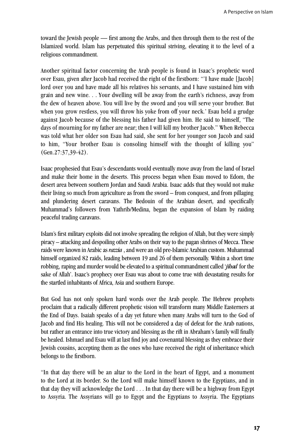toward the Jewish people — first among the Arabs, and then through them to the rest of the Islamized world. Islam has perpetuated this spiritual striving, elevating it to the level of a religious commandment.

Another spiritual factor concerning the Arab people is found in Isaac's prophetic word over Esau, given after Jacob had received the right of the firstborn: "'I have made [Jacob] lord over you and have made all his relatives his servants, and I have sustained him with grain and new wine. . . Your dwelling will be away from the earth's richness, away from the dew of heaven above. You will live by the sword and you will serve your brother. But when you grow restless, you will throw his yoke from off your neck.' Esau held a grudge against Jacob because of the blessing his father had given him. He said to himself, "The days of mourning for my father are near; then I will kill my brother Jacob." When Rebecca was told what her older son Esau had said, she sent for her younger son Jacob and said to him, "Your brother Esau is consoling himself with the thought of killing you"  $(Gen.27:37,39-42)$ .

Isaac prophesied that Esau's descendants would eventually move away from the land of Israel and make their home in the deserts. This process began when Esau moved to Edom, the desert area between southern Jordan and Saudi Arabia. Isaac adds that they would not make their living so much from agriculture as from the sword – from conquest, and from pillaging and plundering desert caravans. The Bedouin of the Arabian desert, and specifically Muhammad's followers from Yathrib/Medina, began the expansion of Islam by raiding peaceful trading caravans.

Islam's first military exploits did not involve spreading the religion of Allah, but they were simply piracy – attacking and despoiling other Arabs on their way to the pagan shrines of Mecca. These raids were known in Arabic as *razzia*, and were an old pre-Islamic Arabian custom. Muhammad himself organized 82 raids, leading between 19 and 26 of them personally. Within a short time robbing, raping and murder would be elevated to a spiritual commandment called '*jihad* for the sake of Allah'. Isaac's prophecy over Esau was about to come true with devastating results for the startled inhabitants of Africa, Asia and southern Europe.

But God has not only spoken hard words over the Arab people. The Hebrew prophets proclaim that a radically different prophetic vision will transform many Middle Easterners at the End of Days. Isaiah speaks of a day yet future when many Arabs will turn to the God of Jacob and find His healing. This will not be considered a day of defeat for the Arab nations, but rather an entrance into true victory and blessing as the rift in Abraham's family will finally be healed. Ishmael and Esau will at last find joy and covenantal blessing as they embrace their Jewish cousins, accepting them as the ones who have received the right of inheritance which belongs to the firstborn.

"In that day there will be an altar to the Lord in the heart of Egypt, and a monument to the Lord at its border. So the Lord will make himself known to the Egyptians, and in that day they will acknowledge the Lord . . . In that day there will be a highway from Egypt to Assyria. The Assyrians will go to Egypt and the Egyptians to Assyria. The Egyptians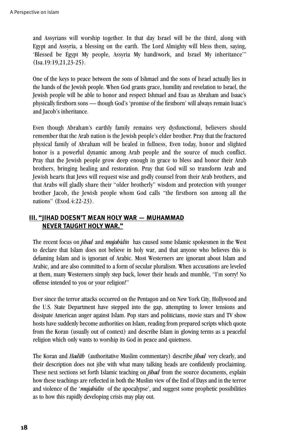and Assyrians will worship together. In that day Israel will be the third, along with Egypt and Assyria, a blessing on the earth. The Lord Almighty will bless them, saying, 'Blessed be Egypt My people, Assyria My handiwork, and Israel My inheritance'"  $(Isa.19:19.21.23-25).$ 

One of the keys to peace between the sons of Ishmael and the sons of Israel actually lies in the hands of the Jewish people. When God grants grace, humility and revelation to Israel, the Jewish people will be able to honor and respect Ishmael and Esau as Abraham and Isaac's physically firstborn sons — though God's 'promise of the firstborn' will always remain Isaac's and Jacob's inheritance.

Even though Abraham's earthly family remains very dysfunctional, believers should remember that the Arab nation is the Jewish people's elder brother. Pray that the fractured physical family of Abraham will be healed in fullness, Even today, honor and slighted honor is a powerful dynamic among Arab people and the source of much conflict. Pray that the Jewish people grow deep enough in grace to bless and honor their Arab brothers, bringing healing and restoration. Pray that God will so transform Arab and Jewish hearts that Jews will request wise and godly counsel from their Arab brothers, and that Arabs will gladly share their "older brotherly" wisdom and protection with younger brother Jacob, the Jewish people whom God calls "the firstborn son among all the nations" (Exod.4:22-23).

# **III. "JIHAD DOESN'T MEAN HOLY WAR — MUHAMMAD NEVER TAUGHT HOLY WAR."**

The recent focus on *jihad* and *mujahidin* has caused some Islamic spokesmen in the West to declare that Islam does not believe in holy war, and that anyone who believes this is defaming Islam and is ignorant of Arabic. Most Westerners are ignorant about Islam and Arabic, and are also committed to a form of secular pluralism. When accusations are leveled at them, many Westerners simply step back, lower their heads and mumble, "I'm sorry! No offense intended to you or your religion!"

Ever since the terror attacks occurred on the Pentagon and on New York City, Hollywood and the U.S. State Department have stepped into the gap, attempting to lower tensions and dissipate American anger against Islam. Pop stars and politicians, movie stars and TV show hosts have suddenly become authorities on Islam, reading from prepared scripts which quote from the Koran (usually out of context) and describe Islam in glowing terms as a peaceful religion which only wants to worship its God in peace and quietness.

The Koran and *Hadith* (authoritative Muslim commentary) describe *jihad* very clearly, and their description does not jibe with what many talking heads are confidently proclaiming. These next sections set forth Islamic teaching on *jihad* from the source documents, explain how these teachings are reflected in both the Muslim view of the End of Days and in the terror and violence of the '*mujahidin* of the apocalypse', and suggest some prophetic possibilities as to how this rapidly developing crisis may play out.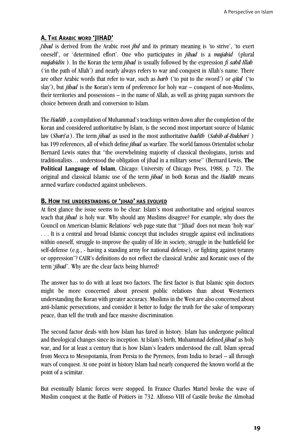# **A. THE ARABIC WORD 'JIHAD'**

*Jihad* is derived from the Arabic root *jhd* and its primary meaning is 'to strive', 'to exert oneself', or 'determined effort'. One who participates in *jihad* is a *mujahid* (plural *mujahidin* ). In the Koran the term *jihad* is usually followed by the expression *fi sabil Illah* ('in the path of Allah') and nearly always refers to war and conquest in Allah's name. There are other Arabic words that refer to war, such as *harb* ('to put to the sword') or *qital* ('to slay'), but *jihad* is the Koran's term of preference for holy war – conquest of non-Muslims, their territories and possessions – in the name of Allah, as well as giving pagan survivors the choice between death and conversion to Islam.

The *Hadith* , a compilation of Muhammad's teachings written down after the completion of the Koran and considered authoritative by Islam, is the second most important source of Islamic law (*Shari'a*). The term *jihad* as used in the most authoritative *hadith* (*Sahih al-Bukhari* ) has 199 references, all of which define *jihad* as warfare. The world famous Orientalist scholar Bernard Lewis states that "the overwhelming majority of classical theologians, jurists and traditionalists… understood the obligation of jihad in a military sense" (Bernard Lewis, **The Political Language of Islam**, Chicago: University of Chicago Press, 1988, p. 72). The original and classical Islamic use of the term *jihad* in both Koran and the *Hadith* means armed warfare conducted against unbelievers.

# **B. HOW THE UNDERSTANDING OF 'JIHAD' HAS EVOLVED**

At first glance the issue seems to be clear: Islam's most authoritative and original sources teach that *jihad* is holy war. Why should any Muslims disagree? For example, why does the Council on American-Islamic Relations' web page state that "'Jihad' does not mean 'holy war' . . . It is a central and broad Islamic concept that includes struggle against evil inclinations within oneself, struggle to improve the quality of life in society, struggle in the battlefield for self-defense (e.g., - having a standing army for national defense), or fighting against tyranny or oppression"? CAIR's definitions do not reflect the classical Arabic and Koranic uses of the term '*jihad*'. Why are the clear facts being blurred?

The answer has to do with at least two factors. The first factor is that Islamic spin doctors might be more concerned about present public relations than about Westerners understanding the Koran with greater accuracy. Muslims in the West are also concerned about anti-Islamic persecutions, and consider it better to fudge the truth for the sake of temporary peace, than tell the truth and face massive discrimination.

The second factor deals with how Islam has fared in history. Islam has undergone political and theological changes since its inception. At Islam's birth, Muhammad defined *jihad* as holy war, and for at least a century that is how Islam's leaders understood the call. Islam spread from Mecca to Mesopotamia, from Persia to the Pyrenees, from India to Israel – all through wars of conquest. At one point in history Islam had nearly conquered the known world at the point of a scimitar.

But eventually Islamic forces were stopped. In France Charles Martel broke the wave of Muslim conquest at the Battle of Poitiers in 732. Alfonso VIII of Castile broke the Almohad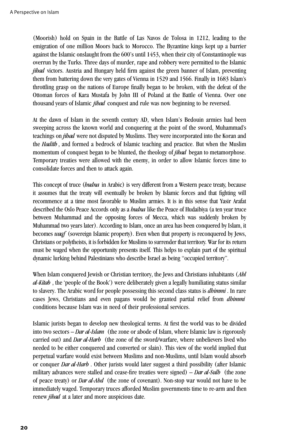(Moorish) hold on Spain in the Battle of Las Navos de Tolosa in 1212, leading to the emigration of one million Moors back to Morocco. The Byzantine kings kept up a barrier against the Islamic onslaught from the 600's until 1453, when their city of Constantinople was overrun by the Turks. Three days of murder, rape and robbery were permitted to the Islamic *jihad* victors. Austria and Hungary held firm against the green banner of Islam, preventing them from battering down the very gates of Vienna in 1529 and 1566. Finally in 1683 Islam's throttling grasp on the nations of Europe finally began to be broken, with the defeat of the Ottoman forces of Kara Mustafa by John III of Poland at the Battle of Vienna. Over one thousand years of Islamic *jihad* conquest and rule was now beginning to be reversed.

At the dawn of Islam in the seventh century AD, when Islam's Bedouin armies had been sweeping across the known world and conquering at the point of the sword, Muhammad's teachings on *jihad* were not disputed by Muslims. They were incorporated into the Koran and the *Hadith* , and formed a bedrock of Islamic teaching and practice. But when the Muslim momentum of conquest began to be blunted, the theology of *jihad* began to metamorphose. Temporary treaties were allowed with the enemy, in order to allow Islamic forces time to consolidate forces and then to attack again.

This concept of truce (*hudna* in Arabic) is very different from a Western peace treaty, because it assumes that the treaty will eventually be broken by Islamic forces and that fighting will recommence at a time most favorable to Muslim armies. It is in this sense that Yasir Arafat described the Oslo Peace Accords only as a *hudna* like the Peace of Hudaibiya (a ten year truce between Muhammad and the opposing forces of Mecca, which was suddenly broken by Muhammad two years later). According to Islam, once an area has been conquered by Islam, it becomes *waqf* (sovereign Islamic property). Even when that property is reconquered by Jews, Christians or polytheists, it is forbidden for Muslims to surrender that territory. War for its return must be waged when the opportunity presents itself. This helps to explain part of the spiritual dynamic lurking behind Palestinians who describe Israel as being "occupied territory".

When Islam conquered Jewish or Christian territory, the Jews and Christians inhabitants (*Ahl al-Kitab* , the 'people of the Book') were deliberately given a legally humiliating status similar to slavery. The Arabic word for people possessing this second class status is *dhimmi* . In rare cases Jews, Christians and even pagans would be granted partial relief from *dhimmi* conditions because Islam was in need of their professional services.

Islamic jurists began to develop new theological terms. At first the world was to be divided into two sectors – *Dar al-Islam* (the zone or abode of Islam, where Islamic law is rigorously carried out) and *Dar al-Harb* (the zone of the sword/warfare, where unbelievers lived who needed to be either conquered and converted or slain). This view of the world implied that perpetual warfare would exist between Muslims and non-Muslims, until Islam would absorb or conquer *Dar al-Harb* . Other jurists would later suggest a third possibility (after Islamic military advances were stalled and cease-fire treaties were signed) – *Dar al-Sulh* (the zone of peace treaty) or *Dar al-Ahd* (the zone of covenant). Non-stop war would not have to be immediately waged. Temporary truces afforded Muslim governments time to re-arm and then renew *jihad* at a later and more auspicious date.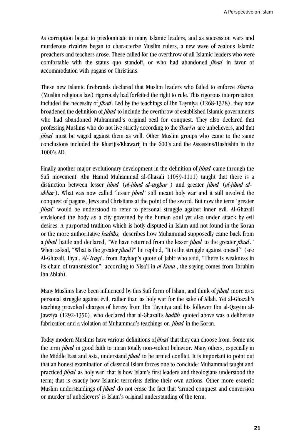As corruption began to predominate in many Islamic leaders, and as succession wars and murderous rivalries began to characterize Muslim rulers, a new wave of zealous Islamic preachers and teachers arose. These called for the overthrow of all Islamic leaders who were comfortable with the status quo standoff, or who had abandoned *jihad* in favor of accommodation with pagans or Christians.

These new Islamic firebrands declared that Muslim leaders who failed to enforce *Shari'a* (Muslim religious law) rigorously had forfeited the right to rule. This rigorous interpretation included the necessity of *jihad*. Led by the teachings of Ibn Taymiya (1268-1328), they now broadened the definition of *jihad* to include the overthrow of established Islamic governments who had abandoned Muhammad's original zeal for conquest. They also declared that professing Muslims who do not live strictly according to the *Shari'a* are unbelievers, and that *jihad* must be waged against them as well. Other Muslim groups who came to the same conclusions included the Kharijis/Khawarij in the 600's and the Assassins/Hashishin in the 1000's AD.

Finally another major evolutionary development in the definition of *jibad* came through the Sufi movement. Abu Hamid Muhammad al-Ghazali (1059-1111) taught that there is a distinction between lesser *jihad (al-jihad al-asghar)* and greater *jihad (al-jihad alakbar*). What was now called 'lesser *jibad*' still meant holy war and it still involved the conquest of pagans, Jews and Christians at the point of the sword. But now the term 'greater *jihad*' would be understood to refer to personal struggle against inner evil. Al-Ghazali envisioned the body as a city governed by the human soul yet also under attack by evil desires. A purported tradition which is hotly disputed in Islam and not found in the Koran or the more authoritative *hadiths,* describes how Muhammad supposedly came back from a *jihad* battle and declared, "We have returned from the lesser *jihad* to the greater *jihad*." When asked, "What is the greater *jihad*?" he replied, "It is the struggle against oneself" (see Al-Ghazali, Ihya', *Al-`Iraqi*, from Bayhaqi's quote of Jabir who said, "There is weakness in its chain of transmission"; according to Nisa'i in *al-Kuna*, the saying comes from Ibrahim ibn Ablah).

Many Muslims have been influenced by this Sufi form of Islam, and think of *jihad* more as a personal struggle against evil, rather than as holy war for the sake of Allah. Yet al-Ghazali's teaching provoked charges of heresy from Ibn Taymiya and his follower Ibn al-Qayyim al-Jawziya (1292-1350), who declared that al-Ghazali's *hadith* quoted above was a deliberate fabrication and a violation of Muhammad's teachings on *jihad* in the Koran.

Today modern Muslims have various definitions of *jihad* that they can choose from. Some use the term *jihad* in good faith to mean totally non-violent behavior. Many others, especially in the Middle East and Asia, understand *jihad* to be armed conflict. It is important to point out that an honest examination of classical Islam forces one to conclude: Muhammad taught and practiced *jihad* as holy war; that is how Islam's first leaders and theologians understood the term; that is exactly how Islamic terrorists define their own actions. Other more esoteric Muslim understandings of *jihad* do not erase the fact that 'armed conquest and conversion or murder of unbelievers' is Islam's original understanding of the term.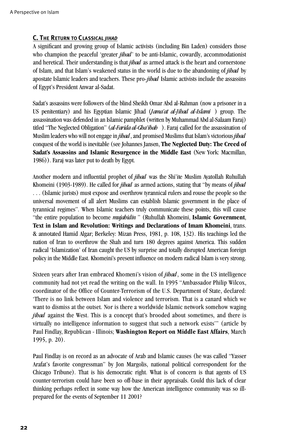# **C. THE RETURN TO CLASSICAL** *JIHAD*

A significant and growing group of Islamic activists (including Bin Laden) considers those who champion the peaceful 'greater *jihad*' to be anti-Islamic, cowardly, accommodationist and heretical. Their understanding is that *jihad* as armed attack is the heart and cornerstone of Islam, and that Islam's weakened status in the world is due to the abandoning of *jihad* by apostate Islamic leaders and teachers. These pro-*jihad* Islamic activists include the assassins of Egypt's President Anwar al-Sadat.

Sadat's assassins were followers of the blind Sheikh Omar Abd al-Rahman (now a prisoner in a US penitentiary) and his Egyptian Islamic Jihad (*Jama'at al-Jihad al-Islami* ) group. The assassination was defended in an Islamic pamphlet (written by Muhammad Abd al-Salaam Faraj) titled "The Neglected Obligation" (*al-Farida al-Gha'ibah* ). Faraj called for the assassination of Muslim leaders who will not engage in *jihad*, and promised Muslims that Islam's victorious *jihad* conquest of the world is inevitable (see Johannes Jansen, **The Neglected Duty: The Creed of** Sadat's Assassins and Islamic Resurgence in the Middle East (New York: Macmillan, 1986)). Faraj was later put to death by Egypt.

Another modern and influential prophet of *jihad* was the Shi'ite Muslim Ayatollah Ruhullah Khomeini (1903-1989). He called for *jihad* as armed actions, stating that "by means of *jihad* . . . (Islamic jurists) must expose and overthrow tyrannical rulers and rouse the people so the universal movement of all alert Muslims can establish Islamic government in the place of tyrannical regimes". When Islamic teachers truly communicate these points, this will cause "the entire population to become *mujahidin* " (Ruhullah Khomeini, Islamic Government, **Text in Islam and Revolution: Writings and Declarations of Imam Khomeini**, trans. & annotated Hamid Algar; Berkeley: Mizan Press, 1981, p. 108, 132). His teachings led the nation of Iran to overthrow the Shah and turn 180 degrees against America. This sudden radical 'Islamization' of Iran caught the US by surprise and totally disrupted American foreign policy in the Middle East. Khomeini's present influence on modern radical Islam is very strong.

Sixteen years after Iran embraced Khomeni's vision of *jihad*, some in the US intelligence community had not yet read the writing on the wall. In 1995 "Ambassador Philip Wilcox, coordinator of the Office of Counter- Terrorism of the U.S. Department of State, declared: 'There is no link between Islam and violence and terrorism. That is a canard which we want to dismiss at the outset. Nor is there a worldwide Islamic network somehow waging *jihad* against the West. This is a concept that's brooded about sometimes, and there is virtually no intelligence information to suggest that such a network exists'" (article by Paul Findlay, Republican - Illinois; **Washington Report on Middle East Affairs**, March 1995, p. 20).

Paul Findlay is on record as an advocate of Arab and Islamic causes (he was called "Yasser Arafat's favorite congressman" by Jon Margolis, national political correspondent for the Chicago Tribune). That is his democratic right. What is of concern is that agents of US counter-terrorism could have been so off-base in their appraisals. Could this lack of clear thinking perhaps reflect in some way how the American intelligence community was so illprepared for the events of September 11 2001?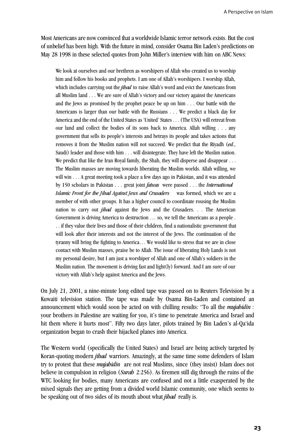Most Americans are now convinced that a worldwide Islamic terror network exists. But the cost of unbelief has been high. With the future in mind, consider Osama Bin Laden's predictions on May 28 1998 in these selected quotes from John Miller's interview with him on ABC News:

We look at ourselves and our brethren as worshipers of Allah who created us to worship him and follow his books and prophets. I am one of Allah's worshipers. I worship Allah, which includes carrying out the *jihad* to raise Allah's word and evict the Americans from all Muslim land . . . We are sure of Allah's victory and our victory against the Americans and the Jews as promised by the prophet peace be up on him . . . Our battle with the Americans is larger than our battle with the Russians . . . We predict a black day for America and the end of the United States as 'United' States . . . (The USA) will retreat from our land and collect the bodies of its sons back to America. Allah willing . . . any government that sells its people's interests and betrays its people and takes actions that removes it from the Muslim nation will not succeed. We predict that the Riyadh (*ed*., Saudi) leader and those with him . . . will disintegrate. They have left the Muslim nation. We predict that like the Iran Royal family, the Shah, they will disperse and disappear . . . The Muslim masses are moving towards liberating the Muslim worlds. Allah willing, we will win . . . A great meeting took a place a few days ago in Pakistan, and it was attended by 150 scholars in Pakistan . . . great joint *fatwas* were passed . . . the *International Islamic Front for the Jihad Against Jews and Crusaders* was formed, which we are a member of with other groups. It has a higher council to coordinate rousing the Muslim nation to carry out *jihad* against the Jews and the Crusaders. . . The American Government is driving America to destruction … so, we tell the Americans as a people . . . if they value their lives and those of their children, find a nationalistic government that will look after their interests and not the interest of the Jews. The continuation of the tyranny will bring the fighting to America… We would like to stress that we are in close contact with Muslim masses, praise be to Allah. The issue of liberating Holy Lands is not my personal desire, but I am just a worshiper of Allah and one of Allah's soldiers in the Muslim nation. The movement is driving fast and light(ly) forward. And I am sure of our victory with Allah's help against America and the Jews.

On July 21, 2001, a nine-minute long edited tape was passed on to Reuters Television by a Kuwaiti television station. The tape was made by Osama Bin-Laden and contained an announcement which would soon be acted on with chilling results: "To all the *mujahidin* : your brothers in Palestine are waiting for you, it's time to penetrate America and Israel and hit them where it hurts most". Fifty two days later, pilots trained by Bin Laden's al-Qa'ida organization began to crash their hijacked planes into America.

The Western world (specifically the United States) and Israel are being actively targeted by Koran-quoting modern *jihad* warriors. Amazingly, at the same time some defenders of Islam try to protest that these *mujahidin* are not real Muslims, since (they insist) Islam does not believe in compulsion in religion (*Surah* 2:256). As firemen still dig through the ruins of the WTC looking for bodies, many Americans are confused and not a little exasperated by the mixed signals they are getting from a divided world Islamic community, one which seems to be speaking out of two sides of its mouth about what *jihad* really is.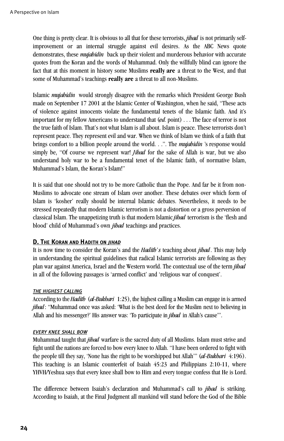One thing is pretty clear. It is obvious to all that for these terrorists, *jihad* is not primarily selfimprovement or an internal struggle against evil desires. As the ABC News quote demonstrates, these *mujahidin* back up their violent and murderous behavior with accurate quotes from the Koran and the words of Muhammad. Only the willfully blind can ignore the fact that at this moment in history some Muslims **really are** a threat to the West, and that some of Muhammad's teachings **really are** a threat to all non-Muslims.

Islamic *mujahidin* would strongly disagree with the remarks which President George Bush made on September 17 2001 at the Islamic Center of Washington, when he said, "These acts of violence against innocents violate the fundamental tenets of the Islamic faith. And it's important for my fellow Americans to understand that (*ed.* point) . . . The face of terror is not the true faith of Islam. That's not what Islam is all about. Islam is peace. These terrorists don't represent peace. They represent evil and war. When we think of Islam we think of a faith that brings comfort to a billion people around the world. . .". The *mujahidin* 's response would simply be, "Of course we represent war! *Jihad* for the sake of Allah is war, but we also understand holy war to be a fundamental tenet of the Islamic faith, of normative Islam, Muhammad's Islam, the Koran's Islam!"

It is said that one should not try to be more Catholic than the Pope. And far be it from non-Muslims to advocate one stream of Islam over another. These debates over which form of Islam is 'kosher' really should be internal Islamic debates. Nevertheless, it needs to be stressed repeatedly that modern Islamic terrorism is not a distortion or a gross perversion of classical Islam. The unappetizing truth is that modern Islamic *jihad* terrorism is the 'flesh and blood' child of Muhammad's own *jihad* teachings and practices.

#### **D. THE KORAN AND HADITH ON** *JIHAD*

It is now time to consider the Koran's and the *Hadith's* teaching about *jihad*. This may help in understanding the spiritual guidelines that radical Islamic terrorists are following as they plan war against America, Israel and the Western world. The contextual use of the term *jihad* in all of the following passages is 'armed conflict' and 'religious war of conquest'.

#### *THE HIGHEST CALLING*

According to the *Hadith (al-Bukhari* 1:25), the highest calling a Muslim can engage in is armed *jibad*: "Muhammad once was asked: 'What is the best deed for the Muslim next to believing in Allah and his messenger?' His answer was: 'To participate in *jihad* in Allah's cause"'.

#### *EVERY KNEE SHALL BOW*

Muhammad taught that *jihad* warfare is the sacred duty of all Muslims. Islam must strive and fight until the nations are forced to bow every knee to Allah. "I have been ordered to fight with the people till they say, 'None has the right to be worshipped but Allah'" (*al-Bukhari* 4:196). This teaching is an Islamic counterfeit of Isaiah 45:23 and Philippians 2:10-11, where YHVH/Yeshua says that every knee shall bow to Him and every tongue confess that He is Lord.

The difference between Isaiah's declaration and Muhammad's call to *jihad* is striking. According to Isaiah, at the Final Judgment all mankind will stand before the God of the Bible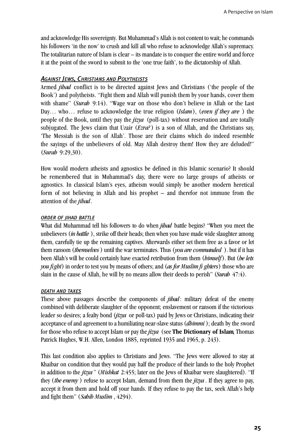and acknowledge His sovereignty. But Muhammad's Allah is not content to wait; he commands his followers 'in the now' to crush and kill all who refuse to acknowledge Allah's supremacy. The totalitarian nature of Islam is clear – its mandate is to conquer the entire world and force it at the point of the sword to submit to the 'one true faith', to the dictatorship of Allah.

#### *AGAINST JEWS, CHRISTIANS AND POLYTHEISTS*

Armed *jibad* conflict is to be directed against Jews and Christians ('the people of the Book') and polytheists. "Fight them and Allah will punish them by your hands, cover them with shame" (*Surah* 9:14). "Wage war on those who don't believe in Allah or the Last Day... who... refuse to acknowledge the true religion *(Islam)*, *(even if they are*) the people of the Book, until they pay the *jizya* (poll-tax) without reservation and are totally subiugated. The Jews claim that Uzair (*Ezra*?) is a son of Allah, and the Christians say, 'The Messiah is the son of Allah'. Those are their claims which do indeed resemble the sayings of the unbelievers of old. May Allah destroy them! How they are deluded!" (*Surah* 9:29,30).

How would modern atheists and agnostics be defined in this Islamic scenario? It should be remembered that in Muhammad's day, there were no large groups of atheists or agnostics. In classical Islam's eyes, atheism would simply be another modern heretical form of not believing in Allah and his prophet – and therefor not immune from the attention of the *jihad*.

#### *ORDER OF JIHAD BATTLE*

What did Muhammad tell his followers to do when *jibad* battle begins? "When you meet the unbelievers (*in battle* ), strike off their heads; then when you have made wide slaughter among them, carefully tie up the remaining captives. Afterwards either set them free as a favor or let them ransom (*themselves*) until the war terminates. Thus (*you are commanded*). but if it has been Allah's will he could certainly have exacted retribution from them (*bimself*). But (*he lets you fight*) in order to test you by means of others; and (*as for Muslim fi ghters*) those who are slain in the cause of Allah, he will by no means allow their deeds to perish" (*Surab* 47:4).

#### *DEATH AND TAXES*

These above passages describe the components of *jihad*: military defeat of the enemy combined with deliberate slaughter of the opponent; enslavement or ransom if the victorious leader so desires; a fealty bond (*jizya* or poll-tax) paid by Jews or Christians, indicating their acceptance of and agreement to a humiliating near-slave status (*dhimmi* ); death by the sword for those who refuse to accept Islam or pay the *jizya* (see **The Dictionary of Islam**, Thomas Patrick Hughes, W.H. Allen, London 1885, reprinted 1935 and 1965, p. 243).

This last condition also applies to Christians and Jews. "The Jews were allowed to stay at Khaibar on condition that they would pay half the produce of their lands to the holy Prophet in addition to the *jizya* " (*Mishkat* 2:455; later on the Jews of Khaibar were slaughtered). "If they (*the enemy* ) refuse to accept Islam, demand from them the *jizya* . If they agree to pay, accept it from them and hold off your hands. If they refuse to pay the tax, seek Allah's help and fight them" (*Sahih Muslim* , 4294).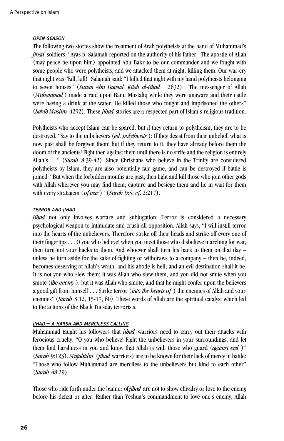#### *OPEN SEASON*

The following two stories show the treatment of Arab polytheists at the hand of Muhammad's *jihad* soldiers. "Ayas b. Salamah reported on the authority of his father: 'The apostle of Allah (may peace be upon him) appointed Abu Bakr to be our commander and we fought with some people who were polytheists, and we attacked them at night, killing them. Our war-cry that night was "Kill, kill!" Salamah said: "I killed that night with my hand polytheists belonging to seven houses" (*Sunan Abu Dawud, Kitab al-Jihad* 2632). "The messenger of Allah (*Muhammad* ) made a raid upon Banu Mustaliq while they were unaware and their cattle were having a drink at the water. He killed those who fought and imprisoned the others" (*Sahih Muslim* 4292). These *jihad* stories are a respected part of Islam's religious tradition.

Polytheists who accept Islam can be spared, but if they return to polytheism, they are to be destroyed. "Say to the unbelievers (*ed. polytheists* ): If they desist from their unbelief, what is now past shall be forgiven them; but if they return to it, they have already before them the doom of the ancients! Fight then against them until there is no strife and the religion is entirely Allah's… " (*Surah* 8:39-42). Since Christians who believe in the Trinity are considered polytheists by Islam, they are also potentially fair game, and can be destroyed if battle is joined: "But when the forbidden months are past, then fight and kill those who join other gods with Allah wherever you may find them; capture and besiege them and lie in wait for them with every stratagem (*of war*)" (*Surah* 9:5; *cf*. 2:217).

#### *TERROR AND JIHAD*

*Jihad* not only involves warfare and subjugation. Terror is considered a necessary psychological weapon to intimidate and crush all opposition. Allah says, "I will instill terror into the hearts of the unbelievers. Therefore strike off their heads and strike off every one of their fingertips *. . .* O you who believe! when you meet those who disbelieve marching for war, then turn not your backs to them. And whoever shall turn his back to them on that day – unless he turn aside for the sake of fighting or withdraws to a company – then he, indeed, becomes deserving of Allah's wrath, and his abode is hell; and an evil destination shall it be. It is not you who slew them; it was Allah who slew them, and you did not smite when you smote (*the enemy*), but it was Allah who smote, and that he might confer upon the believers a good gift from himself . . . Strike terror (*into the hearts of* ) the enemies of Allah and your enemies" (*Surah* 8:12, 15-17, 60). These words of Allah are the spiritual catalyst which led to the actions of the Black Tuesday terrorists.

#### *JIHAD – A HARSH AND MERCILESS CALLING*

Muhammad taught his followers that *jihad* warriors need to carry out their attacks with ferocious cruelty. "O you who believe! Fight the unbelievers in your surroundings, and let them find harshness in you and know that Allah is with those who guard (*against evil* )" (*Surah* 9:123). *Mujahidin* (*jihad* warriors) are to be known for their lack of mercy in battle: "Those who follow Muhammad are merciless to the unbelievers but kind to each other" (*Surah* 48:29).

Those who ride forth under the banner of *jihad* are not to show chivalry or love to the enemy, before his defeat or after. Rather than Yeshua's commandment to love one's enemy, Allah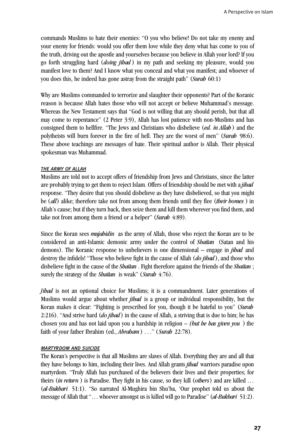commands Muslims to hate their enemies: "O you who believe! Do not take my enemy and your enemy for friends: would you offer them love while they deny what has come to you of the truth, driving out the apostle and yourselves because you believe in Allah your lord? If you go forth struggling hard (*doing jihad* ) in my path and seeking my pleasure, would you manifest love to them? And I know what you conceal and what you manifest; and whoever of you does this, he indeed has gone astray from the straight path" (*Surah* 60:1)

Why are Muslims commanded to terrorize and slaughter their opponents? Part of the Koranic reason is because Allah hates those who will not accept or believe Muhammad's message. Whereas the New Testament says that "God is not willing that any should perish, but that all may come to repentance" (2 Peter 3:9), Allah has lost patience with non-Muslims and has consigned them to hellfire. "The Jews and Christians who disbelieve (*ed. in Allah* ) and the polytheists will burn forever in the fire of hell. They are the worst of men" (*Surah* 98:6). These above teachings are messages of hate. Their spiritual author is Allah. Their physical spokesman was Muhammad.

#### *THE ARMY OF ALLAH*

Muslims are told not to accept offers of friendship from Jews and Christians, since the latter are probably trying to get them to reject Islam. Offers of friendship should be met with a *jihad* response. "They desire that you should disbelieve as they have disbelieved, so that you might be (*all*) alike; therefore take not from among them friends until they flee (*their homes* ) in Allah's cause; but if they turn back, then seize them and kill them wherever you find them, and take not from among them a friend or a helper" (*Surah* 4:89).

Since the Koran sees *mujahidin* as the army of Allah, those who reject the Koran are to be considered an anti-Islamic demonic army under the control of *Shaitan* (Satan and his demons). The Koranic response to unbelievers is one dimensional – engage in *jihad* and destroy the infidels! "Those who believe fight in the cause of Allah (*do jihad* ), and those who disbelieve fight in the cause of the *Shaitan* . Fight therefore against the friends of the *Shaitan* ; surely the strategy of the *Shaitan* is weak" (*Surah* 4:76).

*Jihad* is not an optional choice for Muslims; it is a commandment. Later generations of Muslims would argue about whether *jihad* is a group or individual responsibility, but the Koran makes it clear: "Fighting is prescribed for you, though it be hateful to you" (*Surah* 2:216). "And strive hard (*do jihad*) in the cause of Allah, a striving that is due to him; he has chosen you and has not laid upon you a hardship in religion *– (but he has given you* ) the faith of your father Ibrahim (ed., *Abraham*) . . ." (*Surah* 22:78).

#### *MARTYRDOM AND SUICIDE*

The Koran's perspective is that all Muslims are slaves of Allah. Everything they are and all that they have belongs to him, including their lives. And Allah grants *jihad* warriors paradise upon martyrdom. "Truly Allah has purchased of the believers their lives and their properties; for theirs (*in return*) is Paradise. They fight in his cause, so they kill (*others*) and are killed ... (*al-Bukhari* 51:1). "So narrated Al-Mughira bin Shu'ba, 'Our prophet told us about the message of Allah that "... whoever amongst us is killed will go to Paradise" (*al-Bukhari* 51:2).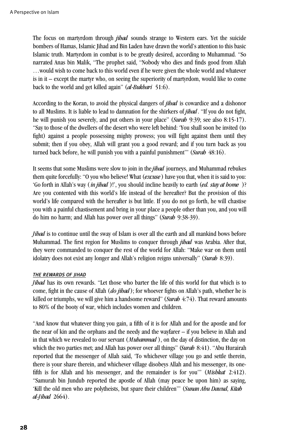The focus on martyrdom through *jihad* sounds strange to Western ears. Yet the suicide bombers of Hamas, Islamic Jihad and Bin Laden have drawn the world's attention to this basic Islamic truth. Martyrdom in combat is to be greatly desired, according to Muhammad. "So narrated Anas bin Malik, "The prophet said, "Nobody who dies and finds good from Allah …would wish to come back to this world even if he were given the whole world and whatever is in it – except the martyr who, on seeing the superiority of martyrdom, would like to come back to the world and get killed again" (*al-Bukhari* 51:6).

According to the Koran, to avoid the physical dangers of *jihad* is cowardice and a dishonor to all Muslims. It is liable to lead to damnation for the shirkers of *jihad*. "If you do not fight, he will punish you severely, and put others in your place" (*Surah* 9:39; see also 8:15-17). "Say to those of the dwellers of the desert who were left behind: 'You shall soon be invited (to fight) against a people possessing mighty prowess; you will fight against them until they submit; then if you obey, Allah will grant you a good reward; and if you turn back as you turned back before, he will punish you with a painful punishment'" (*Surah* 48:16).

It seems that some Muslims were slow to join in the *jihad* journeys, and Muhammad rebukes them quite forcefully: "O you who believe! What (*excuse*) have you that, when it is said to you: 'Go forth in Allah's way (*in jihad* )!', you should incline heavily to earth (*ed. stay at home* )? Are you contented with this world's life instead of the hereafter? But the provision of this world's life compared with the hereafter is but little. If you do not go forth, he will chastise you with a painful chastisement and bring in your place a people other than you, and you will do him no harm; and Allah has power over all things" (*Surah* 9:38-39).

*Jihad* is to continue until the sway of Islam is over all the earth and all mankind bows before Muhammad. The first region for Muslims to conquer through *jihad* was Arabia. After that, they were commanded to conquer the rest of the world for Allah: "Make war on them until idolatry does not exist any longer and Allah's religion reigns universally" (*Surah* 8:39).

#### *THE REWARDS OF JIHAD*

*Jihad* has its own rewards. "Let those who barter the life of this world for that which is to come, fight in the cause of Allah (*do jihad* ); for whoever fights on Allah's path, whether he is killed or triumphs, we will give him a handsome reward" (*Surah* 4:74). That reward amounts to 80% of the booty of war, which includes women and children.

"And know that whatever thing you gain, a fifth of it is for Allah and for the apostle and for the near of kin and the orphans and the needy and the wayfarer – if you believe in Allah and in that which we revealed to our servant (*Muhammad* ), on the day of distinction, the day on which the two parties met; and Allah has power over all things" (*Surah* 8:41). "Abu Hurairah reported that the messenger of Allah said, 'To whichever village you go and settle therein, there is your share therein, and whichever village disobeys Allah and his messenger, its onefifth is for Allah and his messenger, and the remainder is for you'" (*Mishkat* 2:412). "Samurah bin Jundub reported the apostle of Allah (may peace be upon him) as saying, 'Kill the old men who are polytheists, but spare their children'" (*Sunan Abu Dawud, Kitab al-Jihad* 2664).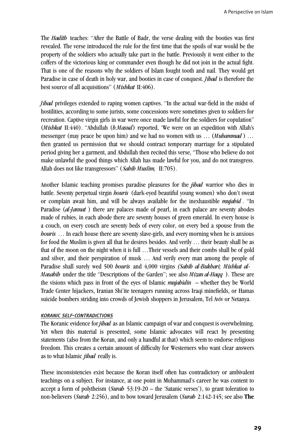The *Hadith* teaches: "After the Battle of Badr, the verse dealing with the booties was first revealed. The verse introduced the rule for the first time that the spoils of war would be the property of the soldiers who actually take part in the battle. Previously it went either to the coffers of the victorious king or commander even though he did not join in the actual fight. That is one of the reasons why the soldiers of Islam fought tooth and nail. They would get Paradise in case of death in holy war, and booties in case of conquest. *Jihad* is therefore the best source of all acquisitions" (*Mishkat* II:406).

*Jihad* privileges extended to raping women captives. "In the actual war-field in the midst of hostilities, according to some jurists, some concessions were sometimes given to soldiers for recreation. Captive virgin girls in war were once made lawful for the soldiers for copulation" (*Mishkat* II:440). "Abdullah (*b.Masud*) reported, 'We were on an expedition with Allah's messenger (may peace be upon him) and we had no women with us … (*Muhammad* ) … then granted us permission that we should contract temporary marriage for a stipulated period giving her a garment, and Abdullah then recited this verse, "Those who believe do not make unlawful the good things which Allah has made lawful for you, and do not transgress. Allah does not like transgressors" (*Sahih Muslim,* II:705).

Another Islamic teaching promises paradise pleasures for the *jihad* warrior who dies in battle. Seventy perpetual virgin *houris* (dark-eyed beautiful young women) who don't sweat or complain await him, and will be always available for the inexhaustible *mujahid* . "In Paradise (*al-Jannat* ) there are palaces made of pearl, in each palace are seventy abodes made of rubies, in each abode there are seventy houses of green emerald. In every house is a couch, on every couch are seventy beds of every color, on every bed a spouse from the *houris* ... In each house there are seventy slave-girls, and every morning when he is anxious for food the Muslim is given all that he desires besides. And verily … their beauty shall be as that of the moon on the night when it is full …Their vessels and their combs shall be of gold and silver, and their perspiration of musk … And verily every man among the people of Paradise shall surely wed 500 *houris* and 4,000 virgins *(Sahih al-Bukhari; Mishkat al-Masabih* under the title "Descriptions of the Garden"; see also *Mizan al-Haqq* ). These are the visions which pass in front of the eyes of Islamic *mujahidin* – whether they be World Trade Center hijackers, Iranian Shi'ite teenagers running across Iraqi minefields, or Hamas suicide bombers striding into crowds of Jewish shoppers in Jerusalem, Tel Aviv or Netanya.

#### *KORANIC SELF-CONTRADICTIONS*

The Koranic evidence for *jihad* as an Islamic campaign of war and conquest is overwhelming. Yet when this material is presented, some Islamic advocates will react by presenting statements (also from the Koran, and only a handful at that) which seem to endorse religious freedom. This creates a certain amount of difficulty for Westerners who want clear answers as to what Islamic *jihad* really is.

These inconsistencies exist because the Koran itself often has contradictory or ambivalent teachings on a subject. For instance, at one point in Muhammad's career he was content to accept a form of polytheism (*Surah* 53:19-20 – the 'Satanic verses'), to grant toleration to non-believers (*Surah* 2:256), and to bow toward Jerusalem (*Surah* 2:142-145; see also **The**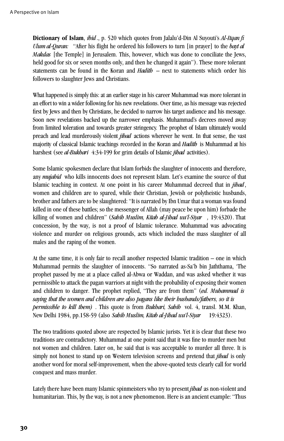**Dictionary of Islam**, *ibid* ., p. 520 which quotes from Jalalu'd-Din Al Suyouti's *Al-Itqan fi Ulum al-Quran:* "After his flight he ordered his followers to turn [in prayer] to the *bayt al Makdas* [the Temple] in Jerusalem. This, however, which was done to conciliate the Jews, held good for six or seven months only, and then he changed it again"). These more tolerant statements can be found in the Koran and *Hadith* – next to statements which order his followers to slaughter Jews and Christians.

What happened is simply this: at an earlier stage in his career Muhammad was more tolerant in an effort to win a wider following for his new revelations. Over time, as his message was rejected first by Jews and then by Christians, he decided to narrow his target audience and his message. Soon new revelations backed up the narrower emphasis. Muhammad's decrees moved away from limited toleration and towards greater stringency. The prophet of Islam ultimately would preach and lead murderously violent *jihad* actions wherever he went. In that sense, the vast majority of classical Islamic teachings recorded in the Koran and *Hadith* is Muhammad at his harshest (see *al-Bukhari* 4:34-199 for grim details of Islamic *jihad* activities).

Some Islamic spokesmen declare that Islam forbids the slaughter of innocents and therefore, any *mujahid* who kills innocents does not represent Islam. Let's examine the source of that Islamic teaching in context. At one point in his career Muhammad decreed that in *jihad*, women and children are to spared, while their Christian, Jewish or polytheistic husbands, brother and fathers are to be slaughtered: "It is narrated by Ibn Umar that a woman was found killed in one of these battles; so the messenger of Allah (may peace be upon him) forbade the killing of women and children" (*Sahih Muslim, Kitab al-Jihad wa'l-Siyar ,* 19:4320). That concession, by the way, is not a proof of Islamic tolerance. Muhammad was advocating violence and murder on religious grounds, acts which included the mass slaughter of all males and the raping of the women.

At the same time, it is only fair to recall another respected Islamic tradition – one in which Muhammad permits the slaughter of innocents. "So narrated as-Sa'b bin Jaththama, 'The prophet passed by me at a place called al-Abwa or Waddan, and was asked whether it was permissible to attack the pagan warriors at night with the probability of exposing their women and children to danger. The prophet replied, "They are from them" (*ed. Muhammad is saying that the women and children are also pagans like their husbands/fathers, so it is permissible to kill them)* . This quote is from *Bukhari, Sahih* vol. 4, transl. M.M. Khan, New Delhi 1984, pp.158-59 (also *Sahih Muslim, Kitab al-Jihad wa'l-Siyar* 19:4323).

The two traditions quoted above are respected by Islamic jurists. Yet it is clear that these two traditions are contradictory. Muhammad at one point said that it was fine to murder men but not women and children. Later on, he said that is was acceptable to murder all three. It is simply not honest to stand up on Western television screens and pretend that *jihad* is only another word for moral self-improvement, when the above-quoted texts clearly call for world conquest and mass murder.

Lately there have been many Islamic spinmeisters who try to present *jibad* as non-violent and humanitarian. This, by the way, is not a new phenomenon. Here is an ancient example: "Thus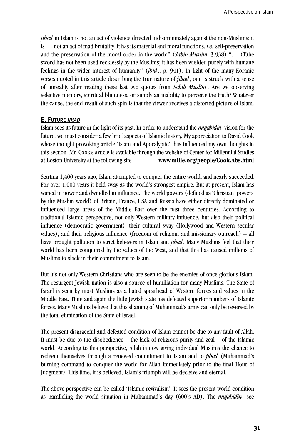*jihad* in Islam is not an act of violence directed indiscriminately against the non-Muslims; it is ... not an act of mad brutality. It has its material and moral functions, *i.e.* self-preservation and the preservation of the moral order in the world" (*Sahih Muslim* 3:938) "… (T)he sword has not been used recklessly by the Muslims; it has been wielded purely with humane feelings in the wider interest of humanity" (*ibid.*, p. 941). In light of the many Koranic verses quoted in this article describing the true nature of *jihad*, one is struck with a sense of unreality after reading these last two quotes from *Sahih Muslim* . Are we observing selective memory, spiritual blindness, or simply an inability to perceive the truth? Whatever the cause, the end result of such spin is that the viewer receives a distorted picture of Islam.

# **E. FUTURE** *JIHAD*

Islam sees its future in the light of its past. In order to understand the *mujabidin* vision for the future, we must consider a few brief aspects of Islamic history. My appreciation to David Cook whose thought provoking article 'Islam and Apocalyptic', has influenced my own thoughts in this section. Mr. Cook's article is available through the website of Center for Millennial Studies at Boston University at the following site: **www.mille.org/people/Cook.Abs.html** 

Starting 1,400 years ago, Islam attempted to conquer the entire world, and nearly succeeded. For over 1,000 years it held sway as the world's strongest empire. But at present, Islam has waned in power and dwindled in influence. The world powers (defined as 'Christian' powers by the Muslim world) of Britain, France, USA and Russia have either directly dominated or influenced large areas of the Middle East over the past three centuries. According to traditional Islamic perspective, not only Western military influence, but also their political influence (democratic government), their cultural sway (Hollywood and Western secular values), and their religious influence (freedom of religion, and missionary outreach) – all have brought pollution to strict believers in Islam and *jihad*. Many Muslims feel that their world has been conquered by the values of the West, and that this has caused millions of Muslims to slack in their commitment to Islam.

But it's not only Western Christians who are seen to be the enemies of once glorious Islam. The resurgent Jewish nation is also a source of humiliation for many Muslims. The State of Israel is seen by most Muslims as a hated spearhead of Western forces and values in the Middle East. Time and again the little Jewish state has defeated superior numbers of Islamic forces. Many Muslims believe that this shaming of Muhammad's army can only be reversed by the total elimination of the State of Israel.

The present disgraceful and defeated condition of Islam cannot be due to any fault of Allah. It must be due to the disobedience – the lack of religious purity and zeal – of the Islamic world. According to this perspective, Allah is now giving individual Muslims the chance to redeem themselves through a renewed commitment to Islam and to *jihad* (Muhammad's burning command to conquer the world for Allah immediately prior to the final Hour of Judgment). This time, it is believed, Islam's triumph will be decisive and eternal.

The above perspective can be called 'Islamic revivalism'. It sees the present world condition as paralleling the world situation in Muhammad's day (600's AD). The *mujahidin* see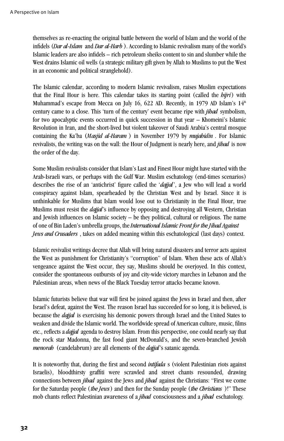themselves as re-enacting the original battle between the world of Islam and the world of the infidels (*Dar al-Islam* and *Dar al-Harb* ). According to Islamic revivalism many of the world's Islamic leaders are also infidels – rich petroleum sheiks content to sin and slumber while the West drains Islamic oil wells (a strategic military gift given by Allah to Muslims to put the West in an economic and political stranglehold).

The Islamic calendar, according to modern Islamic revivalism, raises Muslim expectations that the Final Hour is here. This calendar takes its starting point (called the *hijri*) with Muhammad's escape from Mecca on July 16, 622 AD. Recently, in 1979 AD Islam's  $14<sup>th</sup>$ century came to a close. This 'turn of the century' event became ripe with *jihad* symbolism, for two apocalyptic events occurred in quick succession in that year – Khomeini's Islamic Revolution in Iran, and the short-lived but violent takeover of Saudi Arabia's central mosque containing the Ka'ba (*Masjid al-Haram* ) in November 1979 by *mujahidin* . For Islamic revivalists, the writing was on the wall: the Hour of Judgment is nearly here, and *jihad* is now the order of the day.

Some Muslim revivalists consider that Islam's Last and Finest Hour might have started with the Arab-Israeli wars, or perhaps with the Gulf War. Muslim eschatology (end-times scenarios) describes the rise of an 'antichrist' figure called the '*dajjal*', a Jew who will lead a world conspiracy against Islam, spearheaded by the Christian West and by Israel. Since it is unthinkable for Muslims that Islam would lose out to Christianity in the Final Hour, true Muslims must resist the *dajjal*'s influence by opposing and destroying all Western, Christian and Jewish influences on Islamic society – be they political, cultural or religious. The name of one of Bin Laden's umbrella groups, the *International Islamic Front for the Jihad Against Jews and Crusaders* , takes on added meaning within this eschatological (last days) context.

Islamic revivalist writings decree that Allah will bring natural disasters and terror acts against the West as punishment for Christianity's "corruption" of Islam. When these acts of Allah's vengeance against the West occur, they say, Muslims should be overjoyed. In this context, consider the spontaneous outbursts of joy and city-wide victory marches in Lebanon and the Palestinian areas, when news of the Black Tuesday terror attacks became known.

Islamic futurists believe that war will first be joined against the Jews in Israel and then, after Israel's defeat, against the West. The reason Israel has succeeded for so long, it is believed, is because the *dajjal* is exercising his demonic powers through Israel and the United States to weaken and divide the Islamic world. The worldwide spread of American culture, music, films etc., reflects a *dajjal* agenda to destroy Islam. From this perspective, one could nearly say that the rock star Madonna, the fast food giant McDonald's, and the seven-branched Jewish *menorah* (candelabrum) are all elements of the *dajjal*'s satanic agenda.

It is noteworthy that, during the first and second *intifada* s (violent Palestinian riots against Israelis), bloodthirsty graffiti were scrawled and street chants resounded, drawing connections between *jihad* against the Jews and *jihad* against the Christians: "First we come for the Saturday people (*the Jews*) and then for the Sunday people (*the Christians* )!" These mob chants reflect Palestinian awareness of a *jihad* consciousness and a *jihad* eschatology.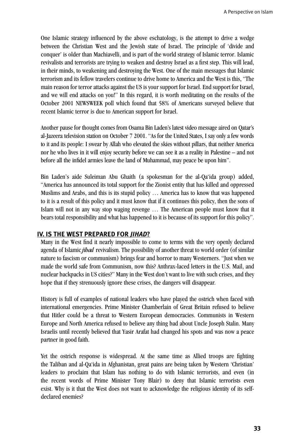One Islamic strategy influenced by the above eschatology, is the attempt to drive a wedge between the Christian West and the Jewish state of Israel. The principle of 'divide and conquer' is older than Machiavelli, and is part of the world strategy of Islamic terror. Islamic revivalists and terrorists are trying to weaken and destroy Israel as a first step. This will lead, in their minds, to weakening and destroying the West. One of the main messages that Islamic terrorism and its fellow travelers continue to drive home to America and the West is this, "The main reason for terror attacks against the US is your support for Israel. End support for Israel, and we will end attacks on you!" In this regard, it is worth meditating on the results of the October 2001 NEWSWEEK poll which found that 58% of Americans surveyed believe that recent Islamic terror is due to American support for Israel.

Another pause for thought comes from Osama Bin Laden's latest video message aired on Qatar's al-Jazeera television station on October 7 2001. "As for the United States, I say only a few words to it and its people: I swear by Allah who elevated the skies without pillars, that neither America nor he who lives in it will enjoy security before we can see it as a reality in Palestine – and not before all the infidel armies leave the land of Muhammad, may peace be upon him".

Bin Laden's aide Suleiman Abu Ghaith (a spokesman for the al-Qa'ida group) added, "America has announced its total support for the Zionist entity that has killed and oppressed Muslims and Arabs, and this is its stupid policy … America has to know that was happened to it is a result of this policy and it must know that if it continues this policy, then the sons of Islam will not in any way stop waging revenge … The American people must know that it bears total responsibility and what has happened to it is because of its support for this policy".

# **IV. IS THE WEST PREPARED FOR** *JIHAD***?**

Many in the West find it nearly impossible to come to terms with the very openly declared agenda of Islamic *jihad* revivalism. The possibility of another threat to world order (of similar nature to fascism or communism) brings fear and horror to many Westerners. "Just when we made the world safe from Communism, now this? Anthrax-laced letters in the U.S. Mail, and nuclear backpacks in US cities?" Many in the West don't want to live with such crises, and they hope that if they strenuously ignore these crises, the dangers will disappear.

History is full of examples of national leaders who have played the ostrich when faced with international emergencies. Prime Minister Chamberlain of Great Britain refused to believe that Hitler could be a threat to Western European democracies. Communists in Western Europe and North America refused to believe any thing bad about Uncle Joseph Stalin. Many Israelis until recently believed that Yasir Arafat had changed his spots and was now a peace partner in good faith.

Yet the ostrich response is widespread. At the same time as Allied troops are fighting the Taliban and al-Qa'ida in Afghanistan, great pains are being taken by Western 'Christian' leaders to proclaim that Islam has nothing to do with Islamic terrorists, and even (in the recent words of Prime Minister Tony Blair) to deny that Islamic terrorists even exist. Why is it that the West does not want to acknowledge the religious identity of its selfdeclared enemies?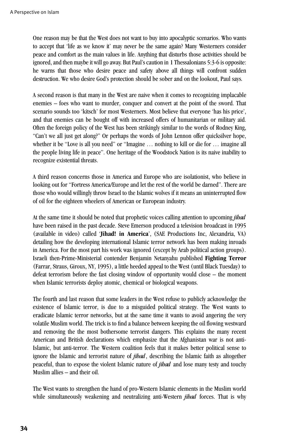One reason may be that the West does not want to buy into apocalyptic scenarios. Who wants to accept that 'life as we know it' may never be the same again? Many Westerners consider peace and comfort as the main values in life. Anything that disturbs those activities should be ignored, and then maybe it will go away. But Paul's caution in 1 Thessalonians 5:3-6 is opposite: he warns that those who desire peace and safety above all things will confront sudden destruction. We who desire God's protection should be sober and on the lookout, Paul says.

A second reason is that many in the West are naive when it comes to recognizing implacable enemies – foes who want to murder, conquer and convert at the point of the sword. That scenario sounds too 'kitsch' for most Westerners. Most believe that everyone 'has his price', and that enemies can be bought off with increased offers of humanitarian or military aid. Often the foreign policy of the West has been strikingly similar to the words of Rodney King, "Can't we all just get along?" Or perhaps the words of John Lennon offer quicksilver hope, whether it be "Love is all you need" or "Imagine ... nothing to kill or die for ... imagine all the people living life in peace". One heritage of the Woodstock Nation is its naive inability to recognize existential threats.

A third reason concerns those in America and Europe who are isolationist, who believe in looking out for "Fortress America/Europe and let the rest of the world be darned". There are those who would willingly throw Israel to the Islamic wolves if it means an uninterrupted flow of oil for the eighteen wheelers of American or European industry.

At the same time it should be noted that prophetic voices calling attention to upcoming *jihad* have been raised in the past decade. Steve Emerson produced a television broadcast in 1995 (available in video) called '**Jihad! in America**', (SAE Productions Inc, Alexandria, VA) detailing how the developing international Islamic terror network has been making inroads in America. For the most part his work was ignored (except by Arab political action groups). Israeli then-Prime-Ministerial contender Benjamin Netanyahu published **Fighting Terror** (Farrar, Straus, Giroux, NY, 1995), a little heeded appeal to the West (until Black Tuesday) to defeat terrorism before the fast closing window of opportunity would close – the moment when Islamic terrorists deploy atomic, chemical or biological weapons.

The fourth and last reason that some leaders in the West refuse to publicly acknowledge the existence of Islamic terror, is due to a misguided political strategy. The West wants to eradicate Islamic terror networks, but at the same time it wants to avoid angering the very volatile Muslim world. The trick is to find a balance between keeping the oil flowing westward and removing the the most bothersome terrorist dangers. This explains the many recent American and British declarations which emphasize that the Afghanistan war is not anti-Islamic, but anti-terror. The Western coalition feels that it makes better political sense to ignore the Islamic and terrorist nature of *jihad*, describing the Islamic faith as altogether peaceful, than to expose the violent Islamic nature of *jihad* and lose many testy and touchy Muslim allies – and their oil.

The West wants to strengthen the hand of pro-Western Islamic elements in the Muslim world while simultaneously weakening and neutralizing anti-Western *jihad* forces. That is why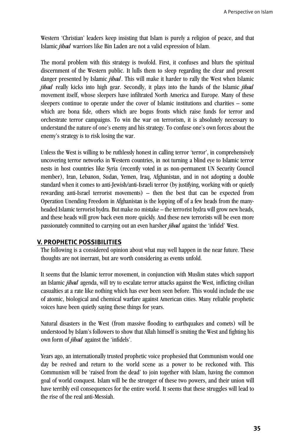Western 'Christian' leaders keep insisting that Islam is purely a religion of peace, and that Islamic *jihad* warriors like Bin Laden are not a valid expression of Islam.

The moral problem with this strategy is twofold. First, it confuses and blurs the spiritual discernment of the Western public. It lulls them to sleep regarding the clear and present danger presented by Islamic *jihad*. This will make it harder to rally the West when Islamic *jihad* really kicks into high gear. Secondly, it plays into the hands of the Islamic *jihad* movement itself, whose sleepers have infiltrated North America and Europe. Many of these sleepers continue to operate under the cover of Islamic institutions and charities – some which are bona fide, others which are bogus fronts which raise funds for terror and orchestrate terror campaigns. To win the war on terrorism, it is absolutely necessary to understand the nature of one's enemy and his strategy. To confuse one's own forces about the enemy's strategy is to risk losing the war.

Unless the West is willing to be ruthlessly honest in calling terror 'terror', in comprehensively uncovering terror networks in Western countries, in not turning a blind eye to Islamic terror nests in host countries like Syria (recently voted in as non-permanent UN Security Council member), Iran, Lebanon, Sudan, Yemen, Iraq, Afghanistan, and in not adopting a double standard when it comes to anti-Jewish/anti-Israeli terror (by justifying, working with or quietly rewarding anti-Israel terrorist movements) – then the best that can be expected from Operation Unending Freedom in Afghanistan is the lopping off of a few heads from the manyheaded Islamic terrorist hydra. But make no mistake – the terrorist hydra will grow new heads, and these heads will grow back even more quickly. And these new terrorists will be even more passionately committed to carrying out an even harsher *jihad* against the 'infidel' West.

# **V. PROPHETIC POSSIBILITIES**

The following is a considered opinion about what may well happen in the near future. These thoughts are not inerrant, but are worth considering as events unfold.

It seems that the Islamic terror movement, in conjunction with Muslim states which support an Islamic *jihad* agenda, will try to escalate terror attacks against the West, inflicting civilian casualties at a rate like nothing which has ever been seen before. This would include the use of atomic, biological and chemical warfare against American cities. Many reliable prophetic voices have been quietly saying these things for years.

Natural disasters in the West (from massive flooding to earthquakes and comets) will be understood by Islam's followers to show that Allah himself is smiting the West and fighting his own form of *jihad* against the 'infidels'.

Years ago, an internationally trusted prophetic voice prophesied that Communism would one day be revived and return to the world scene as a power to be reckoned with. This Communism will be 'raised from the dead' to join together with Islam, having the common goal of world conquest. Islam will be the stronger of these two powers, and their union will have terribly evil consequences for the entire world. It seems that these struggles will lead to the rise of the real anti-Messiah.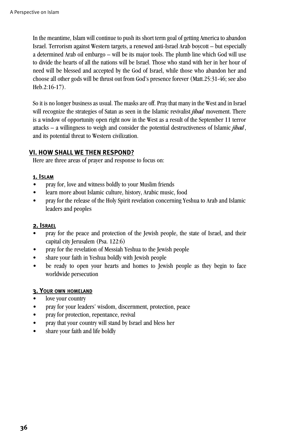In the meantime, Islam will continue to push its short term goal of getting America to abandon Israel. Terrorism against Western targets, a renewed anti-Israel Arab boycott – but especially a determined Arab oil embargo – will be its major tools. The plumb line which God will use to divide the hearts of all the nations will be Israel. Those who stand with her in her hour of need will be blessed and accepted by the God of Israel, while those who abandon her and choose all other gods will be thrust out from God's presence forever (Matt.25:31-46; see also Heb.2:16-17).

So it is no longer business as usual. The masks are off. Pray that many in the West and in Israel will recognize the strategies of Satan as seen in the Islamic revivalist *jihad* movement. There is a window of opportunity open right now in the West as a result of the September 11 terror attacks – a willingness to weigh and consider the potential destructiveness of Islamic *jihad*, and its potential threat to Western civilization.

# **VI. HOW SHALL WE THEN RESPOND?**

Here are three areas of prayer and response to focus on:

#### **1. ISLAM**

- pray for, love and witness boldly to your Muslim friends
- learn more about Islamic culture, history, Arabic music, food
- pray for the release of the Holy Spirit revelation concerning Yeshua to Arab and Islamic leaders and peoples

#### **2. ISRAEL**

- pray for the peace and protection of the Jewish people, the state of Israel, and their capital city Jerusalem (Psa. 122:6)
- pray for the revelation of Messiah Yeshua to the Jewish people
- share your faith in Yeshua boldly with Jewish people
- be ready to open your hearts and homes to Jewish people as they begin to face worldwide persecution

#### **3. YOUR OWN HOMELAND**

- love your country
- pray for your leaders' wisdom, discernment, protection, peace
- pray for protection, repentance, revival
- pray that your country will stand by Israel and bless her
- share your faith and life boldly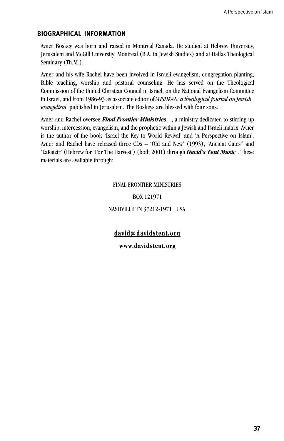#### **BIOGRAPHICAL INFORMATION**

Avner Boskey was born and raised in Montreal Canada. He studied at Hebrew University, Jerusalem and McGill University, Montreal (B.A. in Jewish Studies) and at Dallas Theological Seminary (Th.M.).

Avner and his wife Rachel have been involved in Israeli evangelism, congregation planting, Bible teaching, worship and pastoral counseling. He has served on the Theological Commission of the United Christian Council in Israel, on the National Evangelism Committee in Israel, and from 1986-93 as associate editor of *MISHKAN: a theological journal on Jewish evangelism* published in Jerusalem. The Boskeys are blessed with four sons.

Avner and Rachel oversee *Final Frontier Ministries* , a ministry dedicated to stirring up worship, intercession, evangelism, and the prophetic within a Jewish and Israeli matrix. Avner is the author of the book 'Israel the Key to World Revival' and 'A Perspective on Islam'. Avner and Rachel have released three CDs – 'Old and New' (1993), 'Ancient Gates" and 'LaKatzir' (Hebrew for 'For The Harvest') (both 2001) through *David's Tent Music* . These materials are available through:

#### FINAL FRONTIER MINISTRIES

BOX 121971

NASHVILLE TN 37212-1971 USA

**david@davidstent.org**

 $www.davidstent.org$